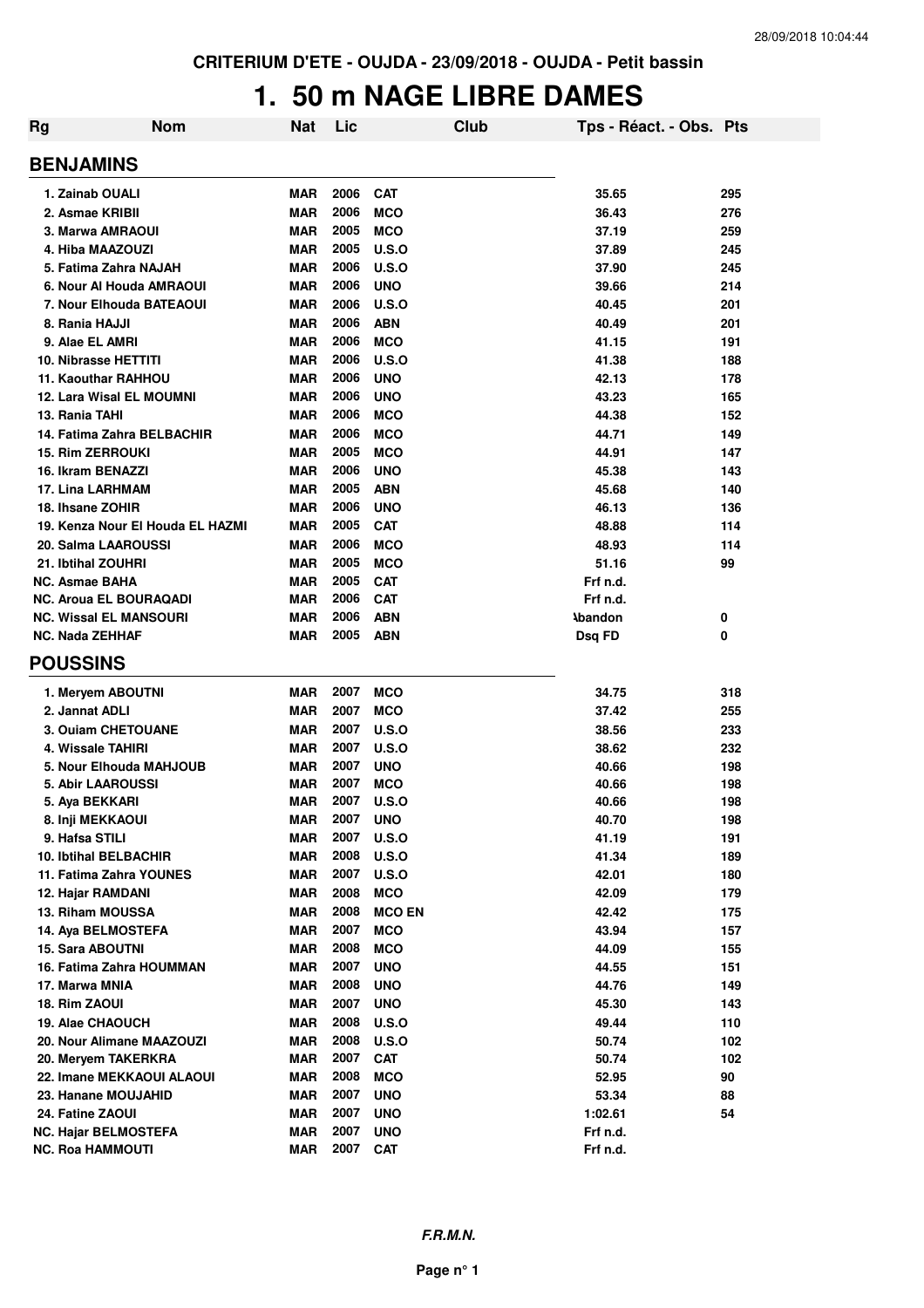### **1. 50 m NAGE LIBRE DAMES**

| <b>Rg</b> | <b>Nom</b>                       | Nat        | Lic  |               | Club | Tps - Réact. - Obs. Pts |     |
|-----------|----------------------------------|------------|------|---------------|------|-------------------------|-----|
|           | <b>BENJAMINS</b>                 |            |      |               |      |                         |     |
|           | 1. Zainab OUALI                  | MAR        | 2006 | <b>CAT</b>    |      | 35.65                   | 295 |
|           | 2. Asmae KRIBII                  | MAR        | 2006 | <b>MCO</b>    |      | 36.43                   | 276 |
|           | 3. Marwa AMRAOUI                 | <b>MAR</b> | 2005 | <b>MCO</b>    |      | 37.19                   | 259 |
|           | 4. Hiba MAAZOUZI                 | <b>MAR</b> | 2005 | <b>U.S.O</b>  |      | 37.89                   | 245 |
|           | 5. Fatima Zahra NAJAH            | <b>MAR</b> | 2006 | <b>U.S.O</b>  |      | 37.90                   | 245 |
|           | 6. Nour Al Houda AMRAOUI         | <b>MAR</b> | 2006 | <b>UNO</b>    |      | 39.66                   | 214 |
|           | 7. Nour Elhouda BATEAOUI         | <b>MAR</b> | 2006 | <b>U.S.O</b>  |      | 40.45                   | 201 |
|           | 8. Rania HAJJI                   | <b>MAR</b> | 2006 | <b>ABN</b>    |      | 40.49                   | 201 |
|           | 9. Alae EL AMRI                  | <b>MAR</b> | 2006 | <b>MCO</b>    |      | 41.15                   | 191 |
|           | <b>10. Nibrasse HETTITI</b>      | <b>MAR</b> | 2006 | <b>U.S.O</b>  |      | 41.38                   | 188 |
|           | <b>11. Kaouthar RAHHOU</b>       | <b>MAR</b> | 2006 | <b>UNO</b>    |      | 42.13                   | 178 |
|           | <b>12. Lara Wisal EL MOUMNI</b>  | <b>MAR</b> | 2006 | <b>UNO</b>    |      | 43.23                   | 165 |
|           | 13. Rania TAHI                   | <b>MAR</b> | 2006 | <b>MCO</b>    |      | 44.38                   | 152 |
|           | 14. Fatima Zahra BELBACHIR       | <b>MAR</b> | 2006 | <b>MCO</b>    |      | 44.71                   | 149 |
|           | <b>15. Rim ZERROUKI</b>          | <b>MAR</b> | 2005 | <b>MCO</b>    |      | 44.91                   | 147 |
|           | 16. Ikram BENAZZI                | <b>MAR</b> | 2006 | <b>UNO</b>    |      | 45.38                   | 143 |
|           | 17. Lina LARHMAM                 | <b>MAR</b> | 2005 | <b>ABN</b>    |      | 45.68                   | 140 |
|           | 18. Ihsane ZOHIR                 | <b>MAR</b> | 2006 | <b>UNO</b>    |      | 46.13                   | 136 |
|           | 19. Kenza Nour El Houda EL HAZMI | <b>MAR</b> | 2005 | <b>CAT</b>    |      | 48.88                   | 114 |
|           | 20. Salma LAAROUSSI              | <b>MAR</b> | 2006 | <b>MCO</b>    |      | 48.93                   | 114 |
|           | 21. Ibtihal ZOUHRI               | <b>MAR</b> | 2005 | <b>MCO</b>    |      | 51.16                   | 99  |
|           | <b>NC. Asmae BAHA</b>            | <b>MAR</b> | 2005 | <b>CAT</b>    |      | Frf n.d.                |     |
|           | <b>NC. Aroua EL BOURAQADI</b>    | <b>MAR</b> | 2006 | <b>CAT</b>    |      | Frf n.d.                |     |
|           | <b>NC. Wissal EL MANSOURI</b>    | <b>MAR</b> | 2006 | <b>ABN</b>    |      | <b>Abandon</b>          | 0   |
|           | <b>NC. Nada ZEHHAF</b>           | <b>MAR</b> | 2005 | <b>ABN</b>    |      | Dsq FD                  | 0   |
|           | <b>POUSSINS</b>                  |            |      |               |      |                         |     |
|           | 1. Meryem ABOUTNI                | <b>MAR</b> | 2007 | <b>MCO</b>    |      | 34.75                   | 318 |
|           | 2. Jannat ADLI                   | <b>MAR</b> | 2007 | <b>MCO</b>    |      | 37.42                   | 255 |
|           | 3. Ouiam CHETOUANE               | <b>MAR</b> | 2007 | <b>U.S.O</b>  |      | 38.56                   | 233 |
|           | 4. Wissale TAHIRI                | <b>MAR</b> | 2007 | U.S.O         |      | 38.62                   | 232 |
|           | 5. Nour Elhouda MAHJOUB          | <b>MAR</b> | 2007 | <b>UNO</b>    |      | 40.66                   | 198 |
|           | <b>5. Abir LAAROUSSI</b>         | <b>MAR</b> | 2007 | <b>MCO</b>    |      | 40.66                   | 198 |
|           | 5. Aya BEKKARI                   | <b>MAR</b> | 2007 | U.S.O         |      | 40.66                   | 198 |
|           | 8. Inji MEKKAOUI                 | <b>MAR</b> | 2007 | <b>UNO</b>    |      | 40.70                   | 198 |
|           | 9. Hafsa STILI                   | MAR        | 2007 | <b>U.S.O</b>  |      | 41.19                   | 191 |
|           | <b>10. Ibtihal BELBACHIR</b>     | <b>MAR</b> | 2008 | <b>U.S.O</b>  |      | 41.34                   | 189 |
|           | 11. Fatima Zahra YOUNES          | <b>MAR</b> | 2007 | <b>U.S.O</b>  |      | 42.01                   | 180 |
|           | 12. Hajar RAMDANI                | <b>MAR</b> | 2008 | <b>MCO</b>    |      | 42.09                   | 179 |
|           | 13. Riham MOUSSA                 | <b>MAR</b> | 2008 | <b>MCO EN</b> |      | 42.42                   | 175 |
|           | 14. Aya BELMOSTEFA               | <b>MAR</b> | 2007 | <b>MCO</b>    |      | 43.94                   | 157 |
|           | <b>15. Sara ABOUTNI</b>          | <b>MAR</b> | 2008 | <b>MCO</b>    |      | 44.09                   | 155 |
|           | 16. Fatima Zahra HOUMMAN         | <b>MAR</b> | 2007 | <b>UNO</b>    |      | 44.55                   | 151 |
|           | 17. Marwa MNIA                   | MAR        | 2008 | <b>UNO</b>    |      | 44.76                   | 149 |
|           | 18. Rim ZAOUI                    | <b>MAR</b> | 2007 | <b>UNO</b>    |      | 45.30                   | 143 |
|           | 19. Alae CHAOUCH                 | <b>MAR</b> | 2008 | <b>U.S.O</b>  |      | 49.44                   | 110 |
|           | 20. Nour Alimane MAAZOUZI        | MAR        | 2008 | <b>U.S.O</b>  |      | 50.74                   | 102 |
|           | 20. Meryem TAKERKRA              | <b>MAR</b> | 2007 | <b>CAT</b>    |      | 50.74                   | 102 |
|           | 22. Imane MEKKAOUI ALAOUI        | <b>MAR</b> | 2008 | <b>MCO</b>    |      | 52.95                   | 90  |
|           | 23. Hanane MOUJAHID              | <b>MAR</b> | 2007 | <b>UNO</b>    |      | 53.34                   | 88  |
|           | 24. Fatine ZAOUI                 | <b>MAR</b> | 2007 | <b>UNO</b>    |      | 1:02.61                 | 54  |
|           | <b>NC. Hajar BELMOSTEFA</b>      | <b>MAR</b> | 2007 | <b>UNO</b>    |      | Frf n.d.                |     |
|           | NC. Roa HAMMOUTI                 | <b>MAR</b> | 2007 | <b>CAT</b>    |      | Frf n.d.                |     |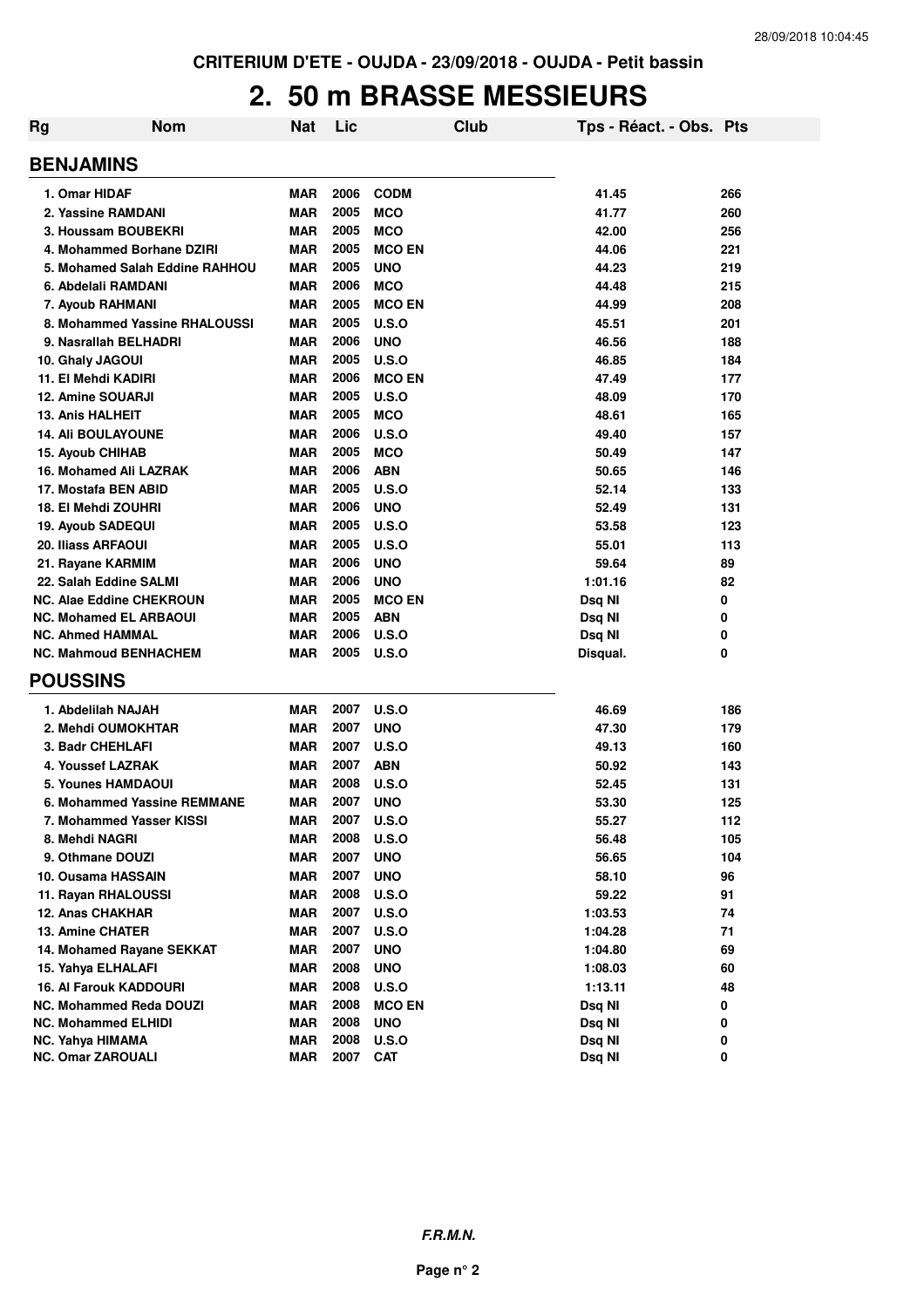# **2. 50 m BRASSE MESSIEURS**

| <b>Rg</b> | <b>Nom</b>                     | <b>Nat</b> | Lic  | Club          | Tps - Réact. - Obs. Pts |     |
|-----------|--------------------------------|------------|------|---------------|-------------------------|-----|
|           | <b>BENJAMINS</b>               |            |      |               |                         |     |
|           | 1. Omar HIDAF                  | <b>MAR</b> | 2006 | <b>CODM</b>   | 41.45                   | 266 |
|           | 2. Yassine RAMDANI             | <b>MAR</b> | 2005 | <b>MCO</b>    | 41.77                   | 260 |
|           | 3. Houssam BOUBEKRI            | <b>MAR</b> | 2005 | <b>MCO</b>    | 42.00                   | 256 |
|           | 4. Mohammed Borhane DZIRI      | <b>MAR</b> | 2005 | <b>MCO EN</b> | 44.06                   | 221 |
|           | 5. Mohamed Salah Eddine RAHHOU | <b>MAR</b> | 2005 | <b>UNO</b>    | 44.23                   | 219 |
|           | 6. Abdelali RAMDANI            | <b>MAR</b> | 2006 | <b>MCO</b>    | 44.48                   | 215 |
|           | 7. Ayoub RAHMANI               | <b>MAR</b> | 2005 | <b>MCO EN</b> | 44.99                   | 208 |
|           | 8. Mohammed Yassine RHALOUSSI  | <b>MAR</b> | 2005 | U.S.O         | 45.51                   | 201 |
|           | 9. Nasrallah BELHADRI          | <b>MAR</b> | 2006 | <b>UNO</b>    | 46.56                   | 188 |
|           | 10. Ghaly JAGOUI               | <b>MAR</b> | 2005 | U.S.O         | 46.85                   | 184 |
|           | 11. El Mehdi KADIRI            | <b>MAR</b> | 2006 | <b>MCO EN</b> | 47.49                   | 177 |
|           | <b>12. Amine SOUARJI</b>       | <b>MAR</b> | 2005 | U.S.O         | 48.09                   | 170 |
|           | <b>13. Anis HALHEIT</b>        | <b>MAR</b> | 2005 | <b>MCO</b>    | 48.61                   | 165 |
|           | <b>14. Ali BOULAYOUNE</b>      | <b>MAR</b> | 2006 | U.S.O         | 49.40                   | 157 |
|           | <b>15. Ayoub CHIHAB</b>        | <b>MAR</b> | 2005 | <b>MCO</b>    | 50.49                   | 147 |
|           | 16. Mohamed Ali LAZRAK         | <b>MAR</b> | 2006 | <b>ABN</b>    | 50.65                   | 146 |
|           | 17. Mostafa BEN ABID           | <b>MAR</b> | 2005 | U.S.O         | 52.14                   | 133 |
|           | 18. El Mehdi ZOUHRI            | <b>MAR</b> | 2006 | <b>UNO</b>    | 52.49                   | 131 |
|           | 19. Ayoub SADEQUI              | <b>MAR</b> | 2005 | U.S.O         | 53.58                   | 123 |
|           | <b>20. Iliass ARFAOUI</b>      | <b>MAR</b> | 2005 | U.S.O         | 55.01                   | 113 |
|           | 21. Rayane KARMIM              | <b>MAR</b> | 2006 | <b>UNO</b>    | 59.64                   | 89  |
|           | 22. Salah Eddine SALMI         | <b>MAR</b> | 2006 | <b>UNO</b>    | 1:01.16                 | 82  |
|           | NC. Alae Eddine CHEKROUN       | <b>MAR</b> | 2005 | <b>MCO EN</b> | Dsq NI                  | 0   |
|           | <b>NC. Mohamed EL ARBAOUI</b>  | <b>MAR</b> | 2005 | <b>ABN</b>    | Dsq NI                  | 0   |
|           | <b>NC. Ahmed HAMMAL</b>        | <b>MAR</b> | 2006 | U.S.O         | Dsq NI                  | 0   |
|           | <b>NC. Mahmoud BENHACHEM</b>   | <b>MAR</b> | 2005 | U.S.O         | Disqual.                | 0   |
|           | <b>POUSSINS</b>                |            |      |               |                         |     |
|           | 1. Abdelilah NAJAH             | <b>MAR</b> | 2007 | U.S.O         | 46.69                   | 186 |
|           | 2. Mehdi OUMOKHTAR             | <b>MAR</b> | 2007 | <b>UNO</b>    | 47.30                   | 179 |
|           | 3. Badr CHEHLAFI               | <b>MAR</b> | 2007 | U.S.O         | 49.13                   | 160 |
|           | 4. Youssef LAZRAK              | <b>MAR</b> | 2007 | <b>ABN</b>    | 50.92                   | 143 |
|           | 5. Younes HAMDAOUI             | <b>MAR</b> | 2008 | U.S.O         | 52.45                   | 131 |
|           | 6. Mohammed Yassine REMMANE    | <b>MAR</b> | 2007 | <b>UNO</b>    | 53.30                   | 125 |
|           | 7. Mohammed Yasser KISSI       | MAR        | 2007 | <b>U.S.O</b>  | 55.27                   | 112 |
|           | 8. Mehdi NAGRI                 | MAR        | 2008 | <b>U.S.O</b>  | 56.48                   | 105 |
|           | 9. Othmane DOUZI               | MAR        | 2007 | <b>UNO</b>    | 56.65                   | 104 |
|           | 10. Ousama HASSAIN             | <b>MAR</b> | 2007 | <b>UNO</b>    | 58.10                   | 96  |
|           | 11. Rayan RHALOUSSI            | <b>MAR</b> | 2008 | U.S.O         | 59.22                   | 91  |
|           | 12. Anas CHAKHAR               | <b>MAR</b> | 2007 | <b>U.S.O</b>  | 1:03.53                 | 74  |
|           | 13. Amine CHATER               | <b>MAR</b> | 2007 | <b>U.S.O</b>  | 1:04.28                 | 71  |
|           | 14. Mohamed Rayane SEKKAT      | <b>MAR</b> | 2007 | <b>UNO</b>    | 1:04.80                 | 69  |
|           | 15. Yahya ELHALAFI             | <b>MAR</b> | 2008 | <b>UNO</b>    | 1:08.03                 | 60  |
|           | <b>16. Al Farouk KADDOURI</b>  | <b>MAR</b> | 2008 | <b>U.S.O</b>  | 1:13.11                 | 48  |
|           | NC. Mohammed Reda DOUZI        | <b>MAR</b> | 2008 | <b>MCO EN</b> | Dsq NI                  | 0   |
|           | NC. Mohammed ELHIDI            | <b>MAR</b> | 2008 | <b>UNO</b>    | Dsq NI                  | 0   |
|           | NC. Yahya HIMAMA               | <b>MAR</b> | 2008 | U.S.O         | Dsq NI                  | 0   |
|           | <b>NC. Omar ZAROUALI</b>       | <b>MAR</b> | 2007 | <b>CAT</b>    | Dsq NI                  | 0   |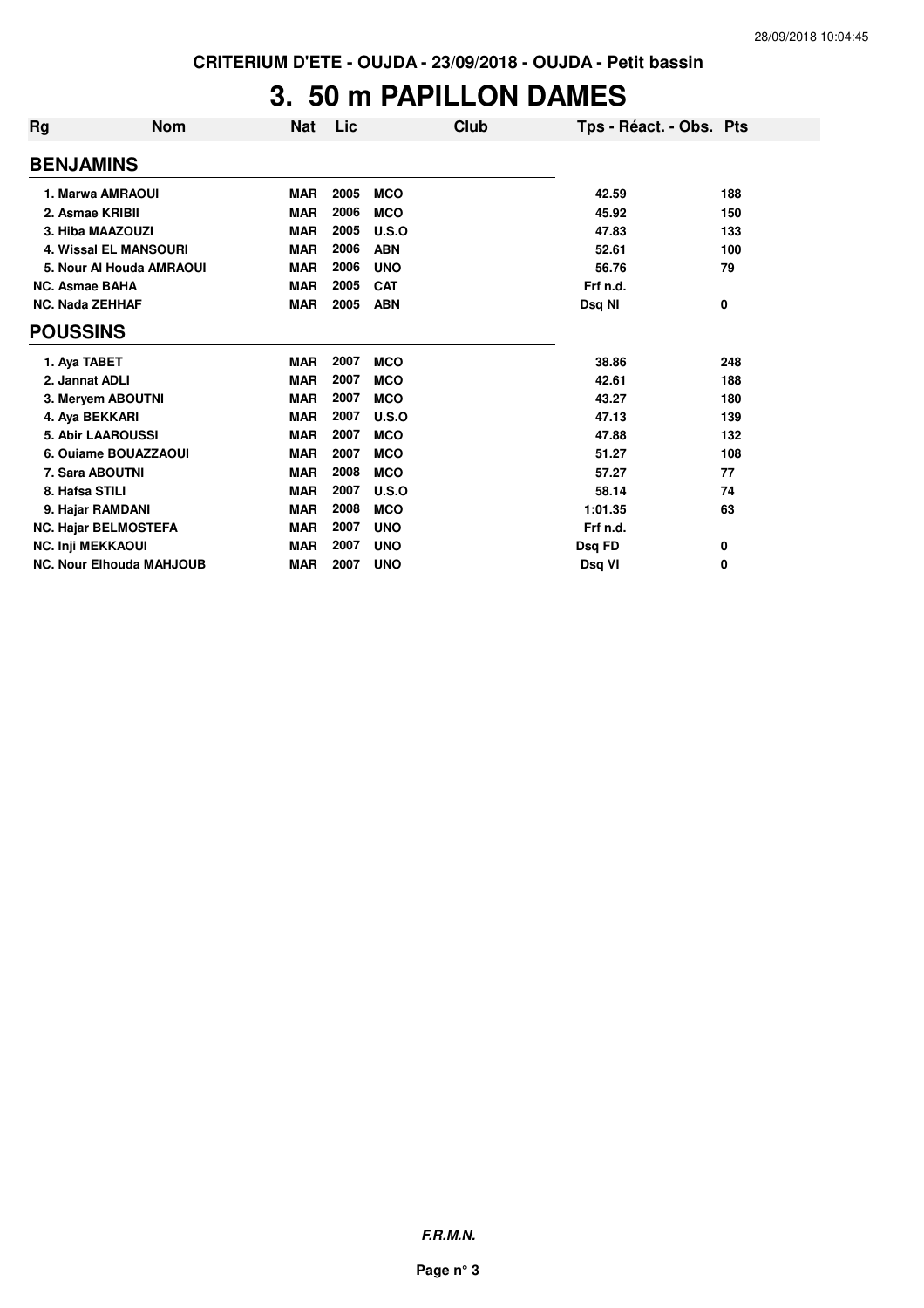## **3. 50 m PAPILLON DAMES**

| Rg                       | <b>Nom</b>                      | <b>Nat</b> | Lic  | Club       | Tps - Réact. - Obs. Pts |     |
|--------------------------|---------------------------------|------------|------|------------|-------------------------|-----|
| <b>BENJAMINS</b>         |                                 |            |      |            |                         |     |
|                          | 1. Marwa AMRAOUI                | <b>MAR</b> | 2005 | <b>MCO</b> | 42.59                   | 188 |
| 2. Asmae KRIBII          |                                 | <b>MAR</b> | 2006 | <b>MCO</b> | 45.92                   | 150 |
|                          | 3. Hiba MAAZOUZI                | <b>MAR</b> | 2005 | U.S.O      | 47.83                   | 133 |
|                          | <b>4. Wissal EL MANSOURI</b>    | <b>MAR</b> | 2006 | <b>ABN</b> | 52.61                   | 100 |
|                          | 5. Nour Al Houda AMRAOUI        | <b>MAR</b> | 2006 | <b>UNO</b> | 56.76                   | 79  |
| <b>NC. Asmae BAHA</b>    |                                 | <b>MAR</b> | 2005 | <b>CAT</b> | Frf n.d.                |     |
| <b>NC. Nada ZEHHAF</b>   |                                 | <b>MAR</b> | 2005 | <b>ABN</b> | Dsq NI                  | 0   |
| <b>POUSSINS</b>          |                                 |            |      |            |                         |     |
| 1. Aya TABET             |                                 | <b>MAR</b> | 2007 | <b>MCO</b> | 38.86                   | 248 |
| 2. Jannat ADLI           |                                 | <b>MAR</b> | 2007 | <b>MCO</b> | 42.61                   | 188 |
|                          | 3. Meryem ABOUTNI               | <b>MAR</b> | 2007 | <b>MCO</b> | 43.27                   | 180 |
| 4. Aya BEKKARI           |                                 | <b>MAR</b> | 2007 | U.S.O      | 47.13                   | 139 |
|                          | <b>5. Abir LAAROUSSI</b>        | <b>MAR</b> | 2007 | <b>MCO</b> | 47.88                   | 132 |
|                          | 6. Ouiame BOUAZZAOUI            | <b>MAR</b> | 2007 | <b>MCO</b> | 51.27                   | 108 |
|                          | 7. Sara ABOUTNI                 | <b>MAR</b> | 2008 | <b>MCO</b> | 57.27                   | 77  |
| 8. Hafsa STILI           |                                 | <b>MAR</b> | 2007 | U.S.O      | 58.14                   | 74  |
|                          | 9. Hajar RAMDANI                | <b>MAR</b> | 2008 | <b>MCO</b> | 1:01.35                 | 63  |
|                          | <b>NC. Hajar BELMOSTEFA</b>     | <b>MAR</b> | 2007 | <b>UNO</b> | Frf n.d.                |     |
| <b>NC. Inji MEKKAOUI</b> |                                 | <b>MAR</b> | 2007 | <b>UNO</b> | Dsq FD                  | 0   |
|                          | <b>NC. Nour Elhouda MAHJOUB</b> | <b>MAR</b> | 2007 | <b>UNO</b> | Dsg VI                  | 0   |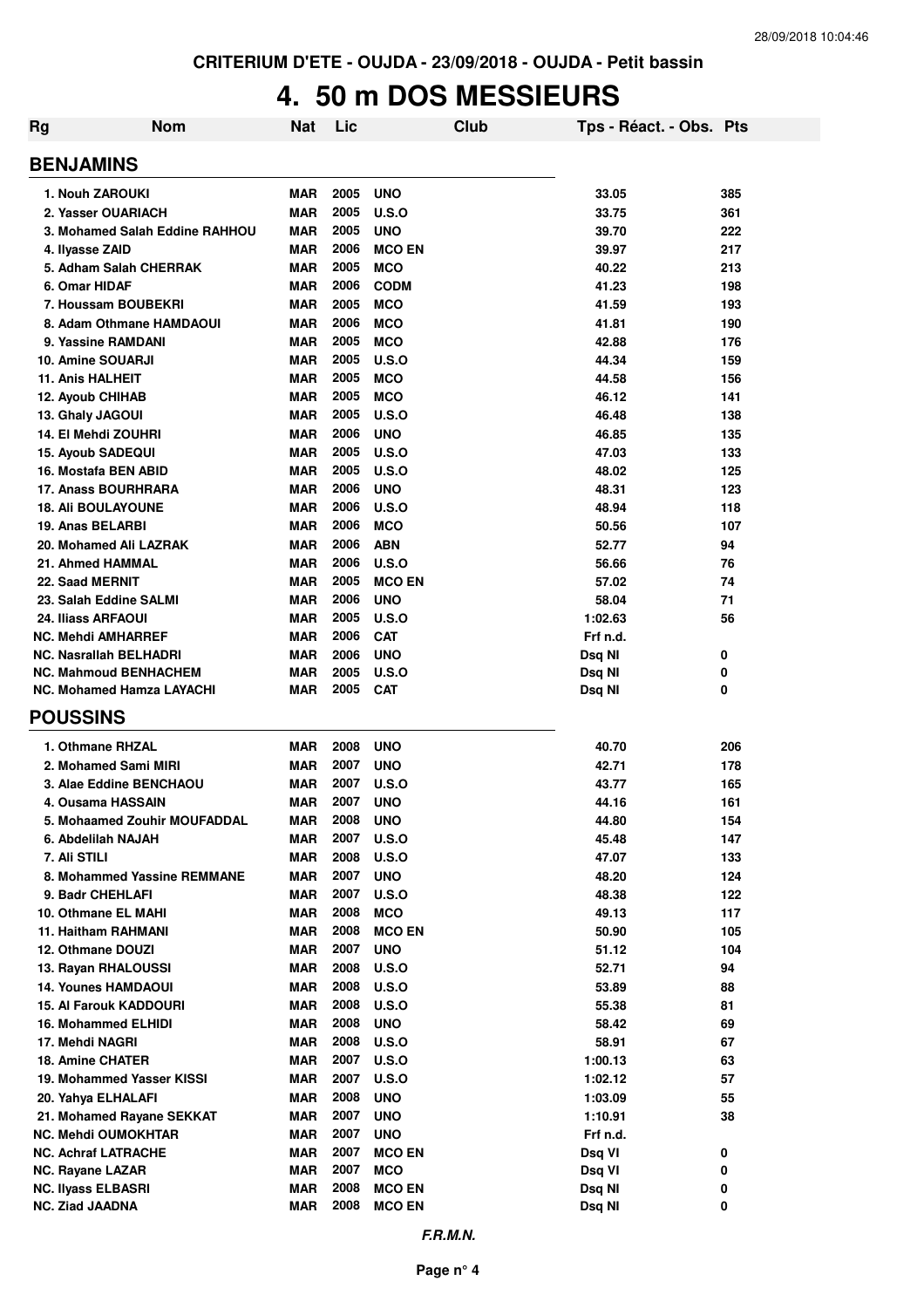# **4. 50 m DOS MESSIEURS**

| Rg | <b>Nom</b>                                          | Nat                      | Lic          |                                | Club | Tps - Réact. - Obs. Pts |            |
|----|-----------------------------------------------------|--------------------------|--------------|--------------------------------|------|-------------------------|------------|
|    | <b>BENJAMINS</b>                                    |                          |              |                                |      |                         |            |
|    | 1. Nouh ZAROUKI                                     | <b>MAR</b>               | 2005         | <b>UNO</b>                     |      | 33.05                   | 385        |
|    | 2. Yasser OUARIACH                                  | <b>MAR</b>               | 2005         | U.S.O                          |      | 33.75                   | 361        |
|    | 3. Mohamed Salah Eddine RAHHOU                      | <b>MAR</b>               | 2005         | <b>UNO</b>                     |      | 39.70                   | 222        |
|    | 4. Ilyasse ZAID                                     | <b>MAR</b>               | 2006         | <b>MCO EN</b>                  |      | 39.97                   | 217        |
|    | 5. Adham Salah CHERRAK                              | <b>MAR</b>               | 2005         | <b>MCO</b>                     |      | 40.22                   | 213        |
|    | 6. Omar HIDAF                                       | <b>MAR</b>               | 2006         | <b>CODM</b>                    |      | 41.23                   | 198        |
|    | 7. Houssam BOUBEKRI                                 | <b>MAR</b>               | 2005         | <b>MCO</b>                     |      | 41.59                   | 193        |
|    | 8. Adam Othmane HAMDAOUI                            | <b>MAR</b>               | 2006         | <b>MCO</b>                     |      | 41.81                   | 190        |
|    | 9. Yassine RAMDANI                                  | <b>MAR</b>               | 2005         | <b>MCO</b>                     |      | 42.88                   | 176        |
|    | 10. Amine SOUARJI                                   | <b>MAR</b>               | 2005         | U.S.O                          |      | 44.34                   | 159        |
|    | <b>11. Anis HALHEIT</b>                             | <b>MAR</b>               | 2005         | <b>MCO</b>                     |      | 44.58                   | 156        |
|    | 12. Ayoub CHIHAB                                    | <b>MAR</b>               | 2005<br>2005 | <b>MCO</b>                     |      | 46.12                   | 141        |
|    | 13. Ghaly JAGOUI<br>14. El Mehdi ZOUHRI             | <b>MAR</b><br><b>MAR</b> | 2006         | U.S.O<br><b>UNO</b>            |      | 46.48<br>46.85          | 138<br>135 |
|    | 15. Ayoub SADEQUI                                   | <b>MAR</b>               | 2005         | U.S.O                          |      | 47.03                   | 133        |
|    | 16. Mostafa BEN ABID                                | <b>MAR</b>               | 2005         | U.S.O                          |      | 48.02                   | 125        |
|    | 17. Anass BOURHRARA                                 | <b>MAR</b>               | 2006         | <b>UNO</b>                     |      | 48.31                   | 123        |
|    | <b>18. Ali BOULAYOUNE</b>                           | <b>MAR</b>               | 2006         | U.S.O                          |      | 48.94                   | 118        |
|    | 19. Anas BELARBI                                    | <b>MAR</b>               | 2006         | <b>MCO</b>                     |      | 50.56                   | 107        |
|    | 20. Mohamed Ali LAZRAK                              | <b>MAR</b>               | 2006         | <b>ABN</b>                     |      | 52.77                   | 94         |
|    | 21. Ahmed HAMMAL                                    | <b>MAR</b>               | 2006         | U.S.O                          |      | 56.66                   | 76         |
|    | 22. Saad MERNIT                                     | <b>MAR</b>               | 2005         | <b>MCO EN</b>                  |      | 57.02                   | 74         |
|    | 23. Salah Eddine SALMI                              | <b>MAR</b>               | 2006         | <b>UNO</b>                     |      | 58.04                   | 71         |
|    | <b>24. Iliass ARFAOUI</b>                           | <b>MAR</b>               | 2005         | U.S.O                          |      | 1:02.63                 | 56         |
|    | <b>NC. Mehdi AMHARREF</b>                           | <b>MAR</b>               | 2006         | <b>CAT</b>                     |      | Frf n.d.                |            |
|    | <b>NC. Nasrallah BELHADRI</b>                       | <b>MAR</b>               | 2006         | <b>UNO</b>                     |      | Dsq NI                  | 0          |
|    | <b>NC. Mahmoud BENHACHEM</b>                        | <b>MAR</b>               | 2005         | <b>U.S.O</b>                   |      | Dsq NI                  | 0          |
|    | <b>NC. Mohamed Hamza LAYACHI</b>                    | MAR                      | 2005         | <b>CAT</b>                     |      | Dsq NI                  | 0          |
|    | <b>POUSSINS</b>                                     |                          |              |                                |      |                         |            |
|    | 1. Othmane RHZAL                                    | <b>MAR</b>               | 2008         | <b>UNO</b>                     |      | 40.70                   | 206        |
|    | 2. Mohamed Sami MIRI                                | <b>MAR</b>               | 2007         | <b>UNO</b>                     |      | 42.71                   | 178        |
|    | 3. Alae Eddine BENCHAOU                             | <b>MAR</b>               | 2007         | U.S.O                          |      | 43.77                   | 165        |
|    | 4. Ousama HASSAIN                                   | <b>MAR</b>               | 2007         | <b>UNO</b>                     |      | 44.16                   | 161        |
|    | 5. Mohaamed Zouhir MOUFADDAL<br>6. Abdelilah NAJAH  | MAR<br><b>MAR</b>        | 2008<br>2007 | <b>UNO</b><br>U.S.O            |      | 44.80<br>45.48          | 154<br>147 |
|    | 7. Ali STILI                                        | <b>MAR</b>               | 2008         | <b>U.S.O</b>                   |      | 47.07                   | 133        |
|    | 8. Mohammed Yassine REMMANE                         | <b>MAR</b>               | 2007         | <b>UNO</b>                     |      | 48.20                   | 124        |
|    | 9. Badr CHEHLAFI                                    | <b>MAR</b>               | 2007         | U.S.O                          |      | 48.38                   | 122        |
|    | 10. Othmane EL MAHI                                 | <b>MAR</b>               | 2008         | <b>MCO</b>                     |      | 49.13                   | 117        |
|    | 11. Haitham RAHMANI                                 | <b>MAR</b>               | 2008         | <b>MCO EN</b>                  |      | 50.90                   | 105        |
|    | 12. Othmane DOUZI                                   | <b>MAR</b>               | 2007         | <b>UNO</b>                     |      | 51.12                   | 104        |
|    | 13. Rayan RHALOUSSI                                 | <b>MAR</b>               | 2008         | <b>U.S.O</b>                   |      | 52.71                   | 94         |
|    | <b>14. Younes HAMDAOUI</b>                          | <b>MAR</b>               | 2008         | <b>U.S.O</b>                   |      | 53.89                   | 88         |
|    | <b>15. Al Farouk KADDOURI</b>                       | <b>MAR</b>               | 2008         | U.S.O                          |      | 55.38                   | 81         |
|    | 16. Mohammed ELHIDI                                 | <b>MAR</b>               | 2008         | <b>UNO</b>                     |      | 58.42                   | 69         |
|    | 17. Mehdi NAGRI                                     | MAR                      | 2008         | U.S.O                          |      | 58.91                   | 67         |
|    | 18. Amine CHATER                                    | <b>MAR</b>               | 2007         | <b>U.S.O</b>                   |      | 1:00.13                 | 63         |
|    | 19. Mohammed Yasser KISSI                           | <b>MAR</b>               | 2007         | <b>U.S.O</b>                   |      | 1:02.12                 | 57         |
|    | 20. Yahya ELHALAFI                                  | <b>MAR</b>               | 2008         | <b>UNO</b>                     |      | 1:03.09                 | 55         |
|    | 21. Mohamed Rayane SEKKAT                           | <b>MAR</b>               | 2007         | <b>UNO</b>                     |      | 1:10.91                 | 38         |
|    | <b>NC. Mehdi OUMOKHTAR</b>                          | <b>MAR</b>               | 2007         | <b>UNO</b>                     |      | Frf n.d.                |            |
|    | <b>NC. Achraf LATRACHE</b>                          | <b>MAR</b>               | 2007         | <b>MCO EN</b>                  |      | Dsq VI                  | 0          |
|    | <b>NC. Rayane LAZAR</b>                             | <b>MAR</b>               | 2007         | <b>MCO</b>                     |      | Dsq VI                  | 0          |
|    | <b>NC. Ilyass ELBASRI</b><br><b>NC. Ziad JAADNA</b> | <b>MAR</b><br><b>MAR</b> | 2008<br>2008 | <b>MCO EN</b><br><b>MCO EN</b> |      | Dsq NI<br>Dsq NI        | 0<br>0     |
|    |                                                     |                          |              |                                |      |                         |            |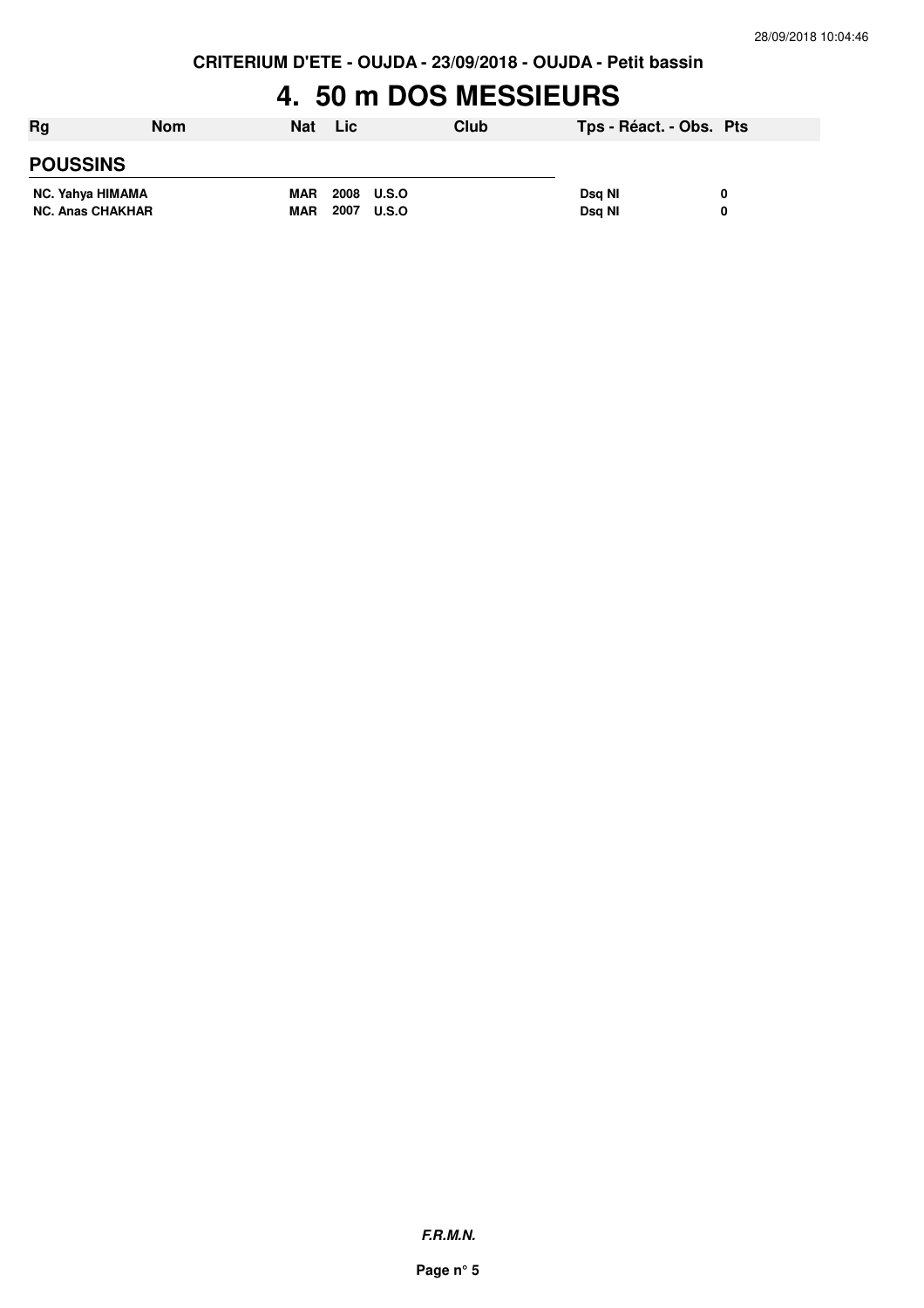**CRITERIUM D'ETE - OUJDA - 23/09/2018 - OUJDA - Petit bassin**

### **4. 50 m DOS MESSIEURS**

| Rg                      | Nom | <b>Nat</b> | Lic                  | Club | Tps - Réact. - Obs. Pts |  |
|-------------------------|-----|------------|----------------------|------|-------------------------|--|
| <b>POUSSINS</b>         |     |            |                      |      |                         |  |
| NC. Yahya HIMAMA        |     | <b>MAR</b> | 2008<br><b>U.S.O</b> |      | Dsg NI                  |  |
| <b>NC. Anas CHAKHAR</b> |     | <b>MAR</b> | 2007<br><b>U.S.O</b> |      | Dsg NI                  |  |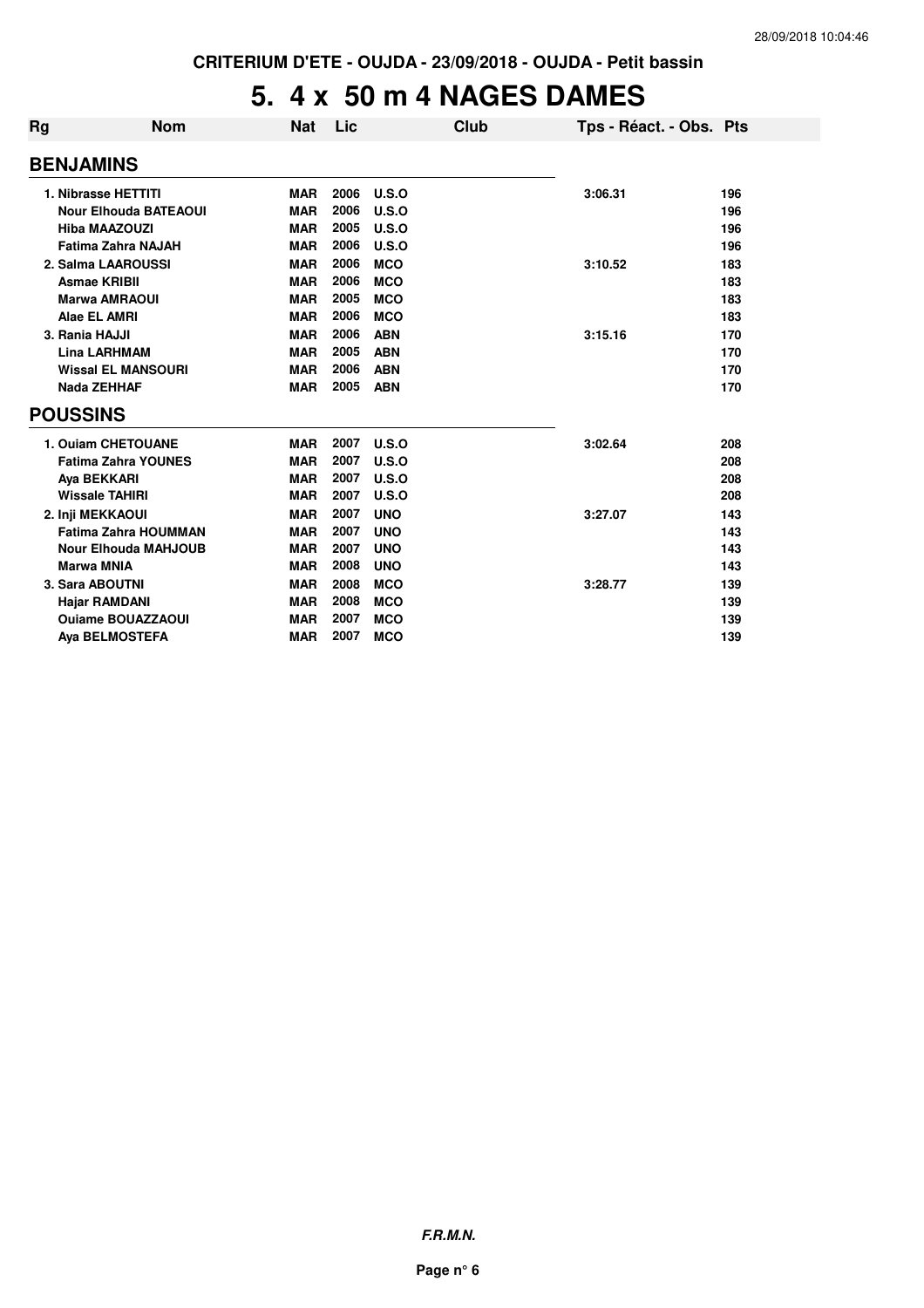## **5. 4 x 50 m 4 NAGES DAMES**

| Rg               | <b>Nom</b>                   | <b>Nat</b> | Lic  | Club       | Tps - Réact. - Obs. Pts |     |
|------------------|------------------------------|------------|------|------------|-------------------------|-----|
| <b>BENJAMINS</b> |                              |            |      |            |                         |     |
|                  | 1. Nibrasse HETTITI          | <b>MAR</b> | 2006 | U.S.O      | 3:06.31                 | 196 |
|                  | <b>Nour Elhouda BATEAOUI</b> | <b>MAR</b> | 2006 | U.S.O      |                         | 196 |
|                  | <b>Hiba MAAZOUZI</b>         | <b>MAR</b> | 2005 | U.S.O      |                         | 196 |
|                  | <b>Fatima Zahra NAJAH</b>    | <b>MAR</b> | 2006 | U.S.O      |                         | 196 |
|                  | 2. Salma LAAROUSSI           | <b>MAR</b> | 2006 | <b>MCO</b> | 3:10.52                 | 183 |
|                  | <b>Asmae KRIBII</b>          | <b>MAR</b> | 2006 | <b>MCO</b> |                         | 183 |
|                  | <b>Marwa AMRAOUI</b>         | <b>MAR</b> | 2005 | <b>MCO</b> |                         | 183 |
|                  | Alae EL AMRI                 | <b>MAR</b> | 2006 | <b>MCO</b> |                         | 183 |
| 3. Rania HAJJI   |                              | <b>MAR</b> | 2006 | <b>ABN</b> | 3:15.16                 | 170 |
|                  | <b>Lina LARHMAM</b>          | <b>MAR</b> | 2005 | <b>ABN</b> |                         | 170 |
|                  | <b>Wissal EL MANSOURI</b>    | <b>MAR</b> | 2006 | <b>ABN</b> |                         | 170 |
|                  | Nada ZEHHAF                  | <b>MAR</b> | 2005 | <b>ABN</b> |                         | 170 |
| <b>POUSSINS</b>  |                              |            |      |            |                         |     |
|                  | 1. Ouiam CHETOUANE           | <b>MAR</b> | 2007 | U.S.O      | 3:02.64                 | 208 |
|                  | <b>Fatima Zahra YOUNES</b>   | <b>MAR</b> | 2007 | U.S.O      |                         | 208 |
|                  | Aya BEKKARI                  | <b>MAR</b> | 2007 | U.S.O      |                         | 208 |
|                  | <b>Wissale TAHIRI</b>        | <b>MAR</b> | 2007 | U.S.O      |                         | 208 |
|                  | 2. Inji MEKKAOUI             | <b>MAR</b> | 2007 | <b>UNO</b> | 3:27.07                 | 143 |
|                  | <b>Fatima Zahra HOUMMAN</b>  | <b>MAR</b> | 2007 | <b>UNO</b> |                         | 143 |
|                  | <b>Nour Elhouda MAHJOUB</b>  | <b>MAR</b> | 2007 | <b>UNO</b> |                         | 143 |
|                  | <b>Marwa MNIA</b>            | <b>MAR</b> | 2008 | <b>UNO</b> |                         | 143 |
|                  | 3. Sara ABOUTNI              | <b>MAR</b> | 2008 | <b>MCO</b> | 3:28.77                 | 139 |
|                  | <b>Hajar RAMDANI</b>         | <b>MAR</b> | 2008 | <b>MCO</b> |                         | 139 |
|                  | <b>Ouiame BOUAZZAOUI</b>     | <b>MAR</b> | 2007 | <b>MCO</b> |                         | 139 |
|                  | <b>Aya BELMOSTEFA</b>        | <b>MAR</b> | 2007 | <b>MCO</b> |                         | 139 |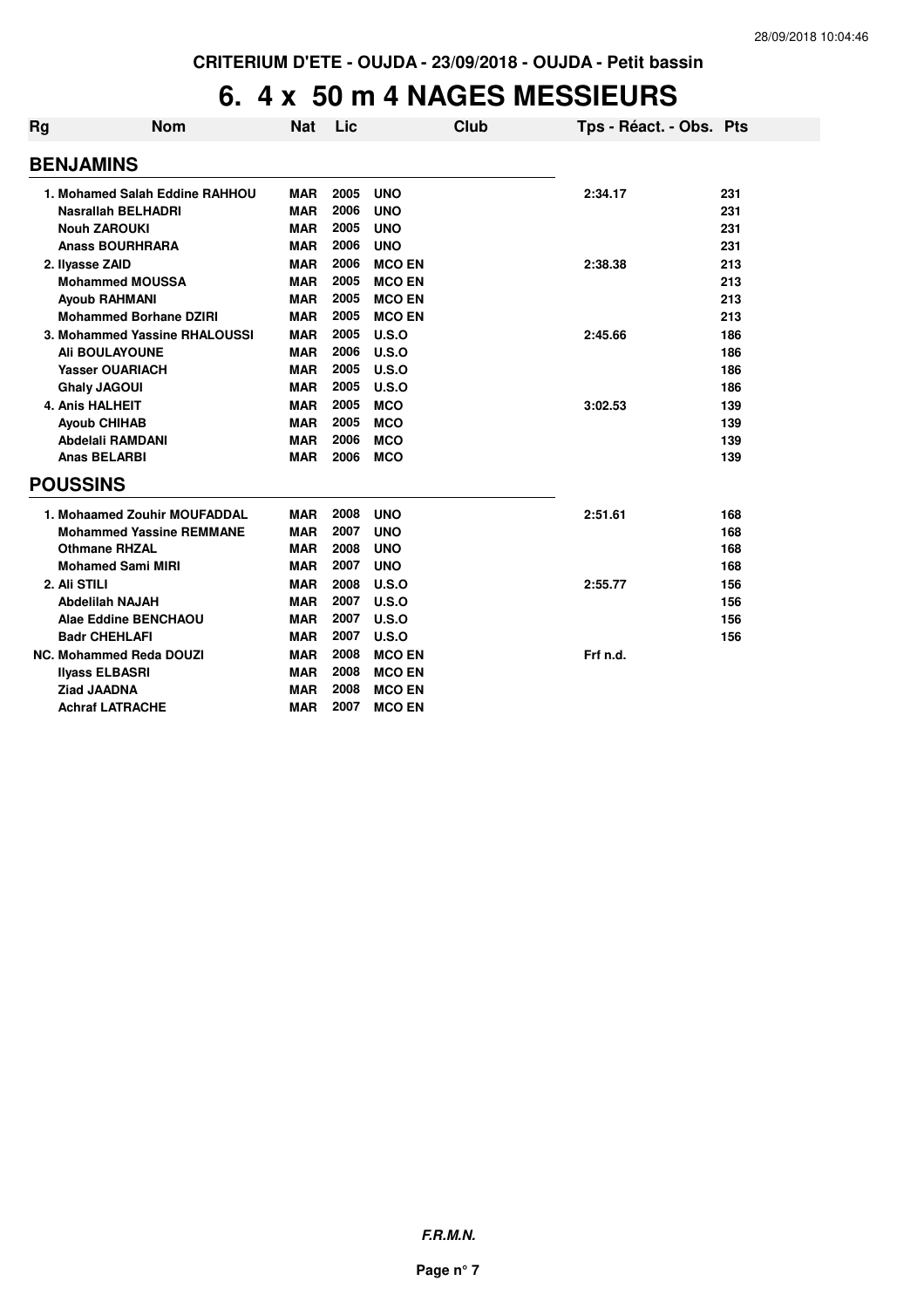#### **6. 4 x 50 m 4 NAGES MESSIEURS**

| Rg | <b>Nom</b>                      | <b>Nat</b> | Lic  |               | Club | Tps - Réact. - Obs. Pts |     |
|----|---------------------------------|------------|------|---------------|------|-------------------------|-----|
|    |                                 |            |      |               |      |                         |     |
|    | <b>BENJAMINS</b>                |            |      |               |      |                         |     |
|    | 1. Mohamed Salah Eddine RAHHOU  | MAR        | 2005 | <b>UNO</b>    |      | 2:34.17                 | 231 |
|    | <b>Nasrallah BELHADRI</b>       | <b>MAR</b> | 2006 | <b>UNO</b>    |      |                         | 231 |
|    | <b>Nouh ZAROUKI</b>             | <b>MAR</b> | 2005 | <b>UNO</b>    |      |                         | 231 |
|    | <b>Anass BOURHRARA</b>          | MAR        | 2006 | <b>UNO</b>    |      |                         | 231 |
|    | 2. Ilyasse ZAID                 | <b>MAR</b> | 2006 | <b>MCO EN</b> |      | 2:38.38                 | 213 |
|    | <b>Mohammed MOUSSA</b>          | <b>MAR</b> | 2005 | <b>MCO EN</b> |      |                         | 213 |
|    | <b>Ayoub RAHMANI</b>            | <b>MAR</b> | 2005 | <b>MCO EN</b> |      |                         | 213 |
|    | <b>Mohammed Borhane DZIRI</b>   | <b>MAR</b> | 2005 | <b>MCO EN</b> |      |                         | 213 |
|    | 3. Mohammed Yassine RHALOUSSI   | <b>MAR</b> | 2005 | U.S.O         |      | 2:45.66                 | 186 |
|    | <b>Ali BOULAYOUNE</b>           | MAR        | 2006 | U.S.O         |      |                         | 186 |
|    | <b>Yasser OUARIACH</b>          | <b>MAR</b> | 2005 | U.S.O         |      |                         | 186 |
|    | <b>Ghaly JAGOUI</b>             | <b>MAR</b> | 2005 | U.S.O         |      |                         | 186 |
|    | <b>4. Anis HALHEIT</b>          | <b>MAR</b> | 2005 | <b>MCO</b>    |      | 3:02.53                 | 139 |
|    | <b>Ayoub CHIHAB</b>             | <b>MAR</b> | 2005 | <b>MCO</b>    |      |                         | 139 |
|    | <b>Abdelali RAMDANI</b>         | <b>MAR</b> | 2006 | <b>MCO</b>    |      |                         | 139 |
|    | <b>Anas BELARBI</b>             | <b>MAR</b> | 2006 | <b>MCO</b>    |      |                         | 139 |
|    | <b>POUSSINS</b>                 |            |      |               |      |                         |     |
|    | 1. Mohaamed Zouhir MOUFADDAL    | <b>MAR</b> | 2008 | <b>UNO</b>    |      | 2:51.61                 | 168 |
|    | <b>Mohammed Yassine REMMANE</b> | <b>MAR</b> | 2007 | <b>UNO</b>    |      |                         | 168 |
|    | <b>Othmane RHZAL</b>            | <b>MAR</b> | 2008 | <b>UNO</b>    |      |                         | 168 |
|    | <b>Mohamed Sami MIRI</b>        | <b>MAR</b> | 2007 | <b>UNO</b>    |      |                         | 168 |
|    | 2. Ali STILI                    | <b>MAR</b> | 2008 | U.S.O         |      | 2:55.77                 | 156 |
|    | <b>Abdelilah NAJAH</b>          | <b>MAR</b> | 2007 | U.S.O         |      |                         | 156 |
|    | Alae Eddine BENCHAOU            | <b>MAR</b> | 2007 | U.S.O         |      |                         | 156 |
|    | <b>Badr CHEHLAFI</b>            | <b>MAR</b> | 2007 | U.S.O         |      |                         | 156 |
|    | <b>NC. Mohammed Reda DOUZI</b>  | <b>MAR</b> | 2008 | <b>MCO EN</b> |      | Frf n.d.                |     |
|    | <b>Ilyass ELBASRI</b>           | <b>MAR</b> | 2008 | <b>MCO EN</b> |      |                         |     |
|    | <b>Ziad JAADNA</b>              | <b>MAR</b> | 2008 | <b>MCO EN</b> |      |                         |     |
|    | <b>Achraf LATRACHE</b>          | <b>MAR</b> | 2007 | <b>MCO EN</b> |      |                         |     |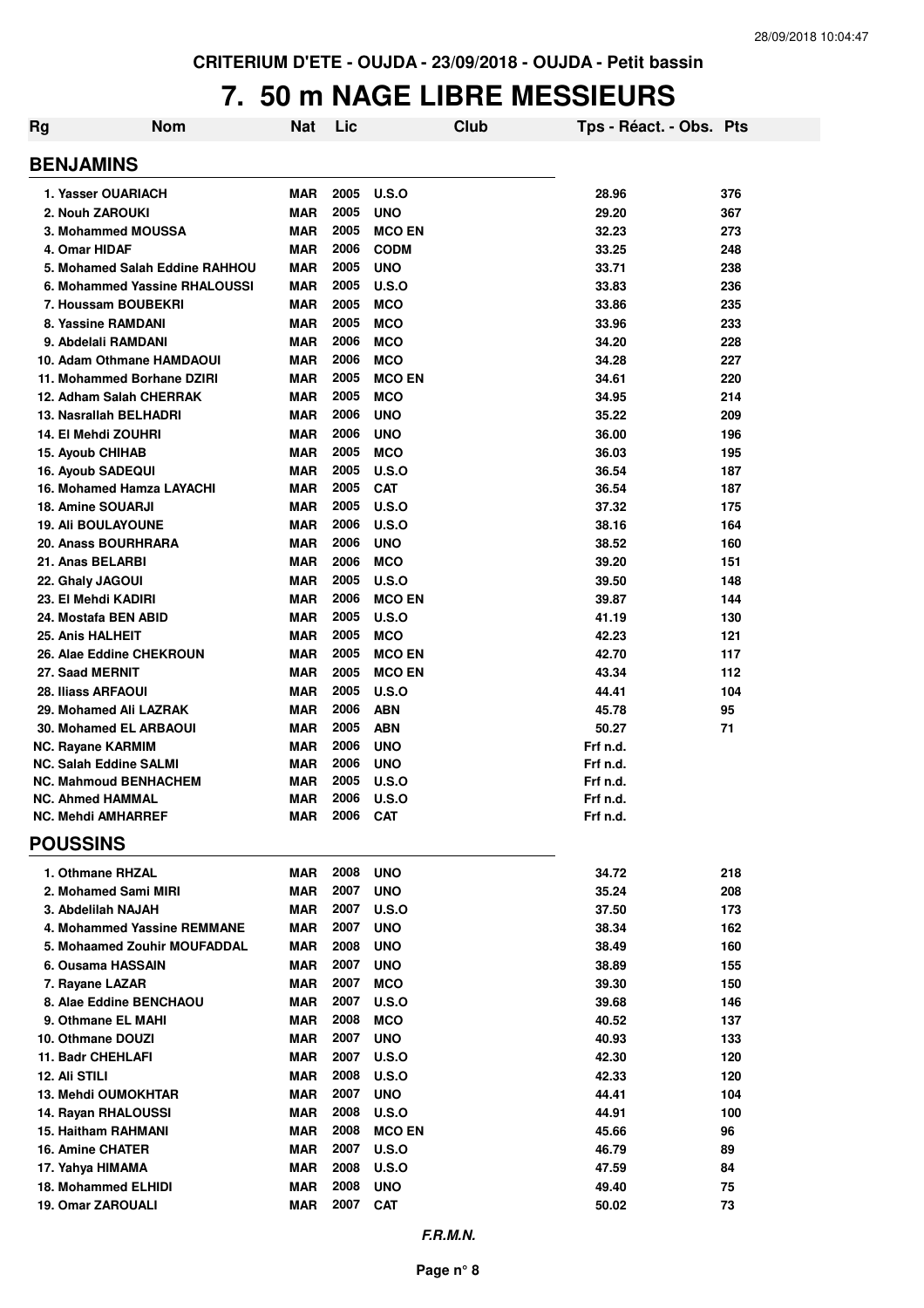#### **7. 50 m NAGE LIBRE MESSIEURS**

| Rg | <b>Nom</b>                                                    | Nat                      | Lic          |                          | Club | Tps - Réact. - Obs. Pts |            |
|----|---------------------------------------------------------------|--------------------------|--------------|--------------------------|------|-------------------------|------------|
|    | <b>BENJAMINS</b>                                              |                          |              |                          |      |                         |            |
|    | 1. Yasser OUARIACH                                            | <b>MAR</b>               | 2005         | U.S.O                    |      | 28.96                   | 376        |
|    | 2. Nouh ZAROUKI                                               | <b>MAR</b>               | 2005         | <b>UNO</b>               |      | 29.20                   | 367        |
|    | 3. Mohammed MOUSSA                                            | <b>MAR</b>               | 2005         | <b>MCO EN</b>            |      | 32.23                   | 273        |
|    | 4. Omar HIDAF                                                 | <b>MAR</b>               | 2006         | <b>CODM</b>              |      | 33.25                   | 248        |
|    | 5. Mohamed Salah Eddine RAHHOU                                | <b>MAR</b>               | 2005         | <b>UNO</b>               |      | 33.71                   | 238        |
|    | 6. Mohammed Yassine RHALOUSSI                                 | <b>MAR</b>               | 2005         | U.S.O                    |      | 33.83                   | 236        |
|    | 7. Houssam BOUBEKRI                                           | <b>MAR</b>               | 2005         | <b>MCO</b>               |      | 33.86                   | 235        |
|    | 8. Yassine RAMDANI                                            | <b>MAR</b>               | 2005         | <b>MCO</b>               |      | 33.96                   | 233        |
|    | 9. Abdelali RAMDANI                                           | <b>MAR</b>               | 2006         | <b>MCO</b>               |      | 34.20                   | 228        |
|    | 10. Adam Othmane HAMDAOUI                                     | <b>MAR</b>               | 2006         | <b>MCO</b>               |      | 34.28                   | 227        |
|    | 11. Mohammed Borhane DZIRI                                    | <b>MAR</b>               | 2005         | <b>MCO EN</b>            |      | 34.61                   | 220        |
|    | 12. Adham Salah CHERRAK<br>13. Nasrallah BELHADRI             | <b>MAR</b><br><b>MAR</b> | 2005<br>2006 | <b>MCO</b><br><b>UNO</b> |      | 34.95<br>35.22          | 214<br>209 |
|    | 14. El Mehdi ZOUHRI                                           | <b>MAR</b>               | 2006         | <b>UNO</b>               |      | 36.00                   | 196        |
|    | <b>15. Ayoub CHIHAB</b>                                       | <b>MAR</b>               | 2005         | <b>MCO</b>               |      | 36.03                   | 195        |
|    | 16. Ayoub SADEQUI                                             | <b>MAR</b>               | 2005         | U.S.O                    |      | 36.54                   | 187        |
|    | 16. Mohamed Hamza LAYACHI                                     | <b>MAR</b>               | 2005         | <b>CAT</b>               |      | 36.54                   | 187        |
|    | 18. Amine SOUARJI                                             | <b>MAR</b>               | 2005         | U.S.O                    |      | 37.32                   | 175        |
|    | <b>19. Ali BOULAYOUNE</b>                                     | <b>MAR</b>               | 2006         | <b>U.S.O</b>             |      | 38.16                   | 164        |
|    | 20. Anass BOURHRARA                                           | <b>MAR</b>               | 2006         | <b>UNO</b>               |      | 38.52                   | 160        |
|    | 21. Anas BELARBI                                              | <b>MAR</b>               | 2006         | <b>MCO</b>               |      | 39.20                   | 151        |
|    | 22. Ghaly JAGOUI                                              | <b>MAR</b>               | 2005         | U.S.O                    |      | 39.50                   | 148        |
|    | 23. El Mehdi KADIRI                                           | <b>MAR</b>               | 2006         | <b>MCO EN</b>            |      | 39.87                   | 144        |
|    | 24. Mostafa BEN ABID                                          | <b>MAR</b>               | 2005         | U.S.O                    |      | 41.19                   | 130        |
|    | 25. Anis HALHEIT                                              | <b>MAR</b>               | 2005         | <b>MCO</b>               |      | 42.23                   | 121        |
|    | 26. Alae Eddine CHEKROUN                                      | <b>MAR</b>               | 2005         | <b>MCO EN</b>            |      | 42.70                   | 117        |
|    | 27. Saad MERNIT                                               | <b>MAR</b>               | 2005         | <b>MCO EN</b>            |      | 43.34                   | 112        |
|    | <b>28. Iliass ARFAOUI</b>                                     | <b>MAR</b>               | 2005         | U.S.O                    |      | 44.41                   | 104        |
|    | 29. Mohamed Ali LAZRAK                                        | <b>MAR</b>               | 2006         | <b>ABN</b>               |      | 45.78                   | 95         |
|    | 30. Mohamed EL ARBAOUI                                        | <b>MAR</b>               | 2005         | <b>ABN</b>               |      | 50.27                   | 71         |
|    | <b>NC. Rayane KARMIM</b>                                      | <b>MAR</b>               | 2006<br>2006 | <b>UNO</b>               |      | Frf n.d.                |            |
|    | <b>NC. Salah Eddine SALMI</b><br><b>NC. Mahmoud BENHACHEM</b> | <b>MAR</b><br><b>MAR</b> | 2005         | <b>UNO</b><br>U.S.O      |      | Frf n.d.<br>Frf n.d.    |            |
|    | <b>NC. Ahmed HAMMAL</b>                                       | <b>MAR</b>               | 2006         | <b>U.S.O</b>             |      | Frf n.d.                |            |
|    | <b>NC. Mehdi AMHARREF</b>                                     | <b>MAR</b>               | 2006         | <b>CAT</b>               |      | Frf n.d.                |            |
|    | <b>POUSSINS</b>                                               |                          |              |                          |      |                         |            |
|    | 1. Othmane RHZAL                                              | <b>MAR</b>               | 2008         | <b>UNO</b>               |      | 34.72                   | 218        |
|    | 2. Mohamed Sami MIRI                                          | <b>MAR</b>               | 2007         | <b>UNO</b>               |      | 35.24                   | 208        |
|    | 3. Abdelilah NAJAH                                            | <b>MAR</b>               | 2007         | <b>U.S.O</b>             |      | 37.50                   | 173        |
|    | 4. Mohammed Yassine REMMANE                                   | <b>MAR</b>               | 2007         | <b>UNO</b>               |      | 38.34                   | 162        |
|    | 5. Mohaamed Zouhir MOUFADDAL                                  | <b>MAR</b>               | 2008         | <b>UNO</b>               |      | 38.49                   | 160        |
|    | 6. Ousama HASSAIN                                             | MAR                      | 2007         | <b>UNO</b>               |      | 38.89                   | 155        |
|    | 7. Rayane LAZAR                                               | <b>MAR</b>               | 2007         | <b>MCO</b>               |      | 39.30                   | 150        |
|    | 8. Alae Eddine BENCHAOU                                       | <b>MAR</b>               | 2007         | <b>U.S.O</b>             |      | 39.68                   | 146        |
|    | 9. Othmane EL MAHI                                            | <b>MAR</b>               | 2008         | <b>MCO</b>               |      | 40.52                   | 137        |
|    | 10. Othmane DOUZI                                             | <b>MAR</b>               | 2007         | <b>UNO</b>               |      | 40.93                   | 133        |
|    | 11. Badr CHEHLAFI                                             | <b>MAR</b>               | 2007         | <b>U.S.O</b>             |      | 42.30                   | 120        |
|    | 12. Ali STILI                                                 | <b>MAR</b>               | 2008         | U.S.O                    |      | 42.33                   | 120        |
|    | <b>13. Mehdi OUMOKHTAR</b>                                    | <b>MAR</b>               | 2007         | <b>UNO</b>               |      | 44.41                   | 104        |
|    | 14. Rayan RHALOUSSI                                           | <b>MAR</b>               | 2008         | <b>U.S.O</b>             |      | 44.91                   | 100        |
|    | <b>15. Haitham RAHMANI</b>                                    | <b>MAR</b>               | 2008         | <b>MCO EN</b>            |      | 45.66                   | 96         |
|    | <b>16. Amine CHATER</b>                                       | <b>MAR</b>               | 2007         | <b>U.S.O</b>             |      | 46.79                   | 89         |
|    | 17. Yahya HIMAMA                                              | <b>MAR</b>               | 2008         | <b>U.S.O</b>             |      | 47.59                   | 84         |
|    | 18. Mohammed ELHIDI                                           | <b>MAR</b>               | 2008         | <b>UNO</b>               |      | 49.40                   | 75         |
|    | 19. Omar ZAROUALI                                             | <b>MAR</b>               | 2007         | <b>CAT</b>               |      | 50.02                   | 73         |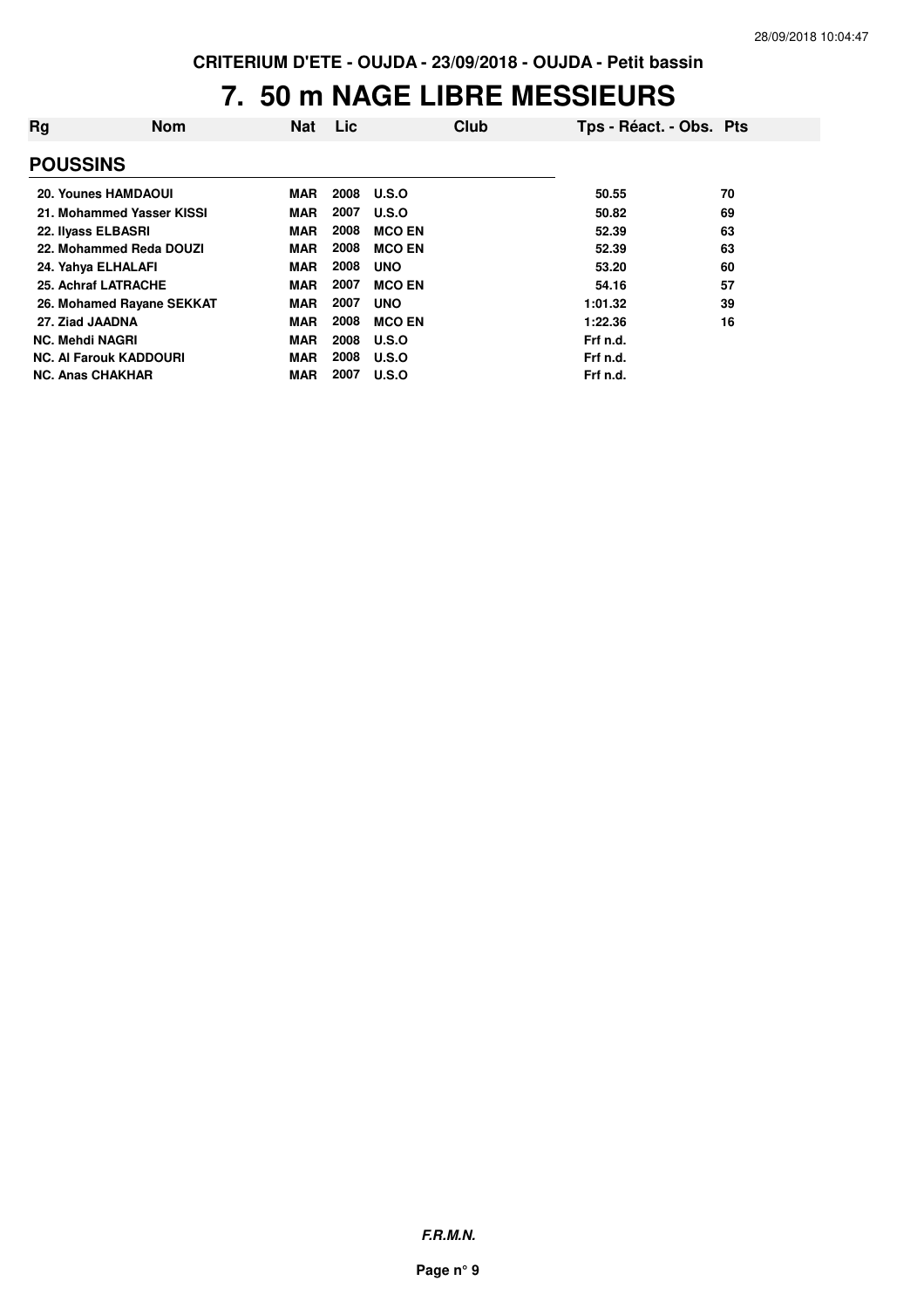#### **7. 50 m NAGE LIBRE MESSIEURS**

| Rg                     | <b>Nom</b>                    | Nat        | Lic  | Club          | Tps - Réact. - Obs. Pts |    |
|------------------------|-------------------------------|------------|------|---------------|-------------------------|----|
| <b>POUSSINS</b>        |                               |            |      |               |                         |    |
|                        | <b>20. Younes HAMDAOUI</b>    | MAR        | 2008 | U.S.O         | 50.55                   | 70 |
|                        | 21. Mohammed Yasser KISSI     | <b>MAR</b> | 2007 | U.S.O         | 50.82                   | 69 |
|                        | 22. Ilyass ELBASRI            | <b>MAR</b> | 2008 | <b>MCO EN</b> | 52.39                   | 63 |
|                        | 22. Mohammed Reda DOUZI       | MAR        | 2008 | <b>MCO EN</b> | 52.39                   | 63 |
|                        | 24. Yahya ELHALAFI            | <b>MAR</b> | 2008 | <b>UNO</b>    | 53.20                   | 60 |
|                        | 25. Achraf LATRACHE           | MAR        | 2007 | <b>MCO EN</b> | 54.16                   | 57 |
|                        | 26. Mohamed Rayane SEKKAT     | <b>MAR</b> | 2007 | <b>UNO</b>    | 1:01.32                 | 39 |
| 27. Ziad JAADNA        |                               | MAR        | 2008 | <b>MCO EN</b> | 1:22.36                 | 16 |
| <b>NC. Mehdi NAGRI</b> |                               | <b>MAR</b> | 2008 | U.S.O         | Frf n.d.                |    |
|                        | <b>NC. Al Farouk KADDOURI</b> | <b>MAR</b> | 2008 | U.S.O         | Frf n.d.                |    |
|                        | <b>NC. Anas CHAKHAR</b>       | <b>MAR</b> | 2007 | U.S.O         | Frf n.d.                |    |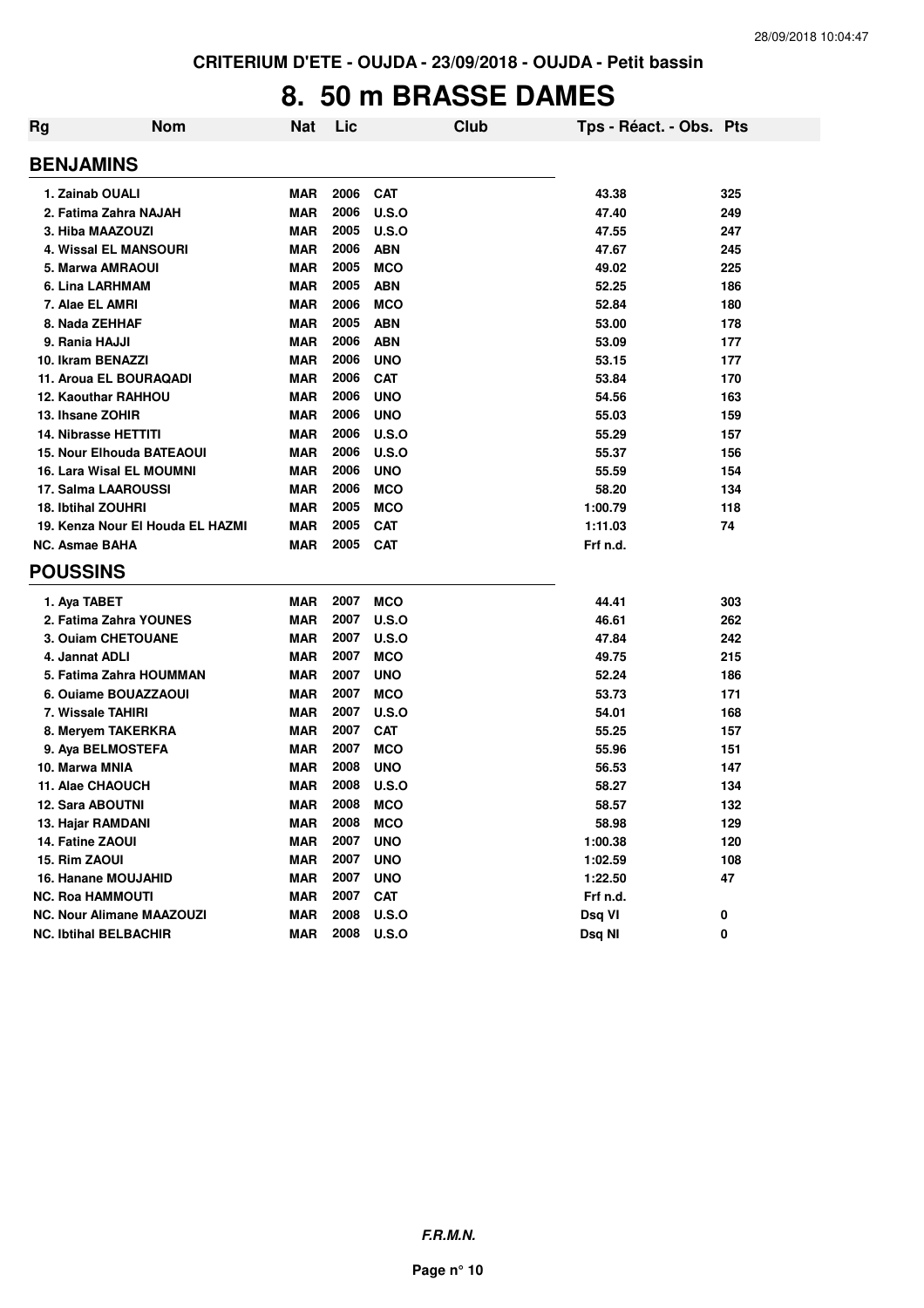## **8. 50 m BRASSE DAMES**

| Rg | <b>Nom</b>                       | Nat        | Lic  |              | Club | Tps - Réact. - Obs. Pts |     |
|----|----------------------------------|------------|------|--------------|------|-------------------------|-----|
|    | <b>BENJAMINS</b>                 |            |      |              |      |                         |     |
|    | 1. Zainab OUALI                  | <b>MAR</b> | 2006 | <b>CAT</b>   |      | 43.38                   | 325 |
|    | 2. Fatima Zahra NAJAH            | <b>MAR</b> | 2006 | U.S.O        |      | 47.40                   | 249 |
|    | 3. Hiba MAAZOUZI                 | <b>MAR</b> | 2005 | <b>U.S.O</b> |      | 47.55                   | 247 |
|    | <b>4. Wissal EL MANSOURI</b>     | <b>MAR</b> | 2006 | <b>ABN</b>   |      | 47.67                   | 245 |
|    | 5. Marwa AMRAOUI                 | <b>MAR</b> | 2005 | <b>MCO</b>   |      | 49.02                   | 225 |
|    | 6. Lina LARHMAM                  | <b>MAR</b> | 2005 | <b>ABN</b>   |      | 52.25                   | 186 |
|    | 7. Alae EL AMRI                  | <b>MAR</b> | 2006 | <b>MCO</b>   |      | 52.84                   | 180 |
|    | 8. Nada ZEHHAF                   | <b>MAR</b> | 2005 | <b>ABN</b>   |      | 53.00                   | 178 |
|    | 9. Rania HAJJI                   | <b>MAR</b> | 2006 | <b>ABN</b>   |      | 53.09                   | 177 |
|    | 10. Ikram BENAZZI                | <b>MAR</b> | 2006 | <b>UNO</b>   |      | 53.15                   | 177 |
|    | 11. Aroua EL BOURAQADI           | <b>MAR</b> | 2006 | <b>CAT</b>   |      | 53.84                   | 170 |
|    | 12. Kaouthar RAHHOU              | <b>MAR</b> | 2006 | <b>UNO</b>   |      | 54.56                   | 163 |
|    | 13. Ihsane ZOHIR                 | <b>MAR</b> | 2006 | <b>UNO</b>   |      | 55.03                   | 159 |
|    | <b>14. Nibrasse HETTITI</b>      | <b>MAR</b> | 2006 | U.S.O        |      | 55.29                   | 157 |
|    | <b>15. Nour Elhouda BATEAOUI</b> | <b>MAR</b> | 2006 | <b>U.S.O</b> |      | 55.37                   | 156 |
|    | 16. Lara Wisal EL MOUMNI         | <b>MAR</b> | 2006 | <b>UNO</b>   |      | 55.59                   | 154 |
|    | 17. Salma LAAROUSSI              | MAR        | 2006 | <b>MCO</b>   |      | 58.20                   | 134 |
|    | <b>18. Ibtihal ZOUHRI</b>        | <b>MAR</b> | 2005 | <b>MCO</b>   |      | 1:00.79                 | 118 |
|    | 19. Kenza Nour El Houda EL HAZMI | <b>MAR</b> | 2005 | <b>CAT</b>   |      | 1:11.03                 | 74  |
|    | <b>NC. Asmae BAHA</b>            | <b>MAR</b> | 2005 | <b>CAT</b>   |      | Frf n.d.                |     |
|    | <b>POUSSINS</b>                  |            |      |              |      |                         |     |
|    | 1. Aya TABET                     | <b>MAR</b> | 2007 | <b>MCO</b>   |      | 44.41                   | 303 |
|    | 2. Fatima Zahra YOUNES           | <b>MAR</b> | 2007 | U.S.O        |      | 46.61                   | 262 |
|    | 3. Ouiam CHETOUANE               | <b>MAR</b> | 2007 | U.S.O        |      | 47.84                   | 242 |
|    | 4. Jannat ADLI                   | <b>MAR</b> | 2007 | <b>MCO</b>   |      | 49.75                   | 215 |
|    | 5. Fatima Zahra HOUMMAN          | <b>MAR</b> | 2007 | <b>UNO</b>   |      | 52.24                   | 186 |
|    | 6. Ouiame BOUAZZAOUI             | <b>MAR</b> | 2007 | <b>MCO</b>   |      | 53.73                   | 171 |
|    | 7. Wissale TAHIRI                | <b>MAR</b> | 2007 | U.S.O        |      | 54.01                   | 168 |
|    | 8. Meryem TAKERKRA               | <b>MAR</b> | 2007 | <b>CAT</b>   |      | 55.25                   | 157 |
|    | 9. Aya BELMOSTEFA                | <b>MAR</b> | 2007 | <b>MCO</b>   |      | 55.96                   | 151 |
|    | 10. Marwa MNIA                   | <b>MAR</b> | 2008 | <b>UNO</b>   |      | 56.53                   | 147 |
|    | 11. Alae CHAOUCH                 | MAR        | 2008 | U.S.O        |      | 58.27                   | 134 |
|    | 12. Sara ABOUTNI                 | <b>MAR</b> | 2008 | <b>MCO</b>   |      | 58.57                   | 132 |
|    | 13. Hajar RAMDANI                | MAR        | 2008 | <b>MCO</b>   |      | 58.98                   | 129 |
|    | 14. Fatine ZAOUI                 | <b>MAR</b> | 2007 | <b>UNO</b>   |      | 1:00.38                 | 120 |
|    | 15. Rim ZAOUI                    | <b>MAR</b> | 2007 | <b>UNO</b>   |      | 1:02.59                 | 108 |
|    | 16. Hanane MOUJAHID              | <b>MAR</b> | 2007 | <b>UNO</b>   |      | 1:22.50                 | 47  |
|    | <b>NC. Roa HAMMOUTI</b>          | <b>MAR</b> | 2007 | <b>CAT</b>   |      | Frf n.d.                |     |
|    | <b>NC. Nour Alimane MAAZOUZI</b> | <b>MAR</b> | 2008 | <b>U.S.O</b> |      | Dsq VI                  | 0   |
|    | <b>NC. Ibtihal BELBACHIR</b>     | <b>MAR</b> | 2008 | U.S.O        |      | Dsq NI                  | 0   |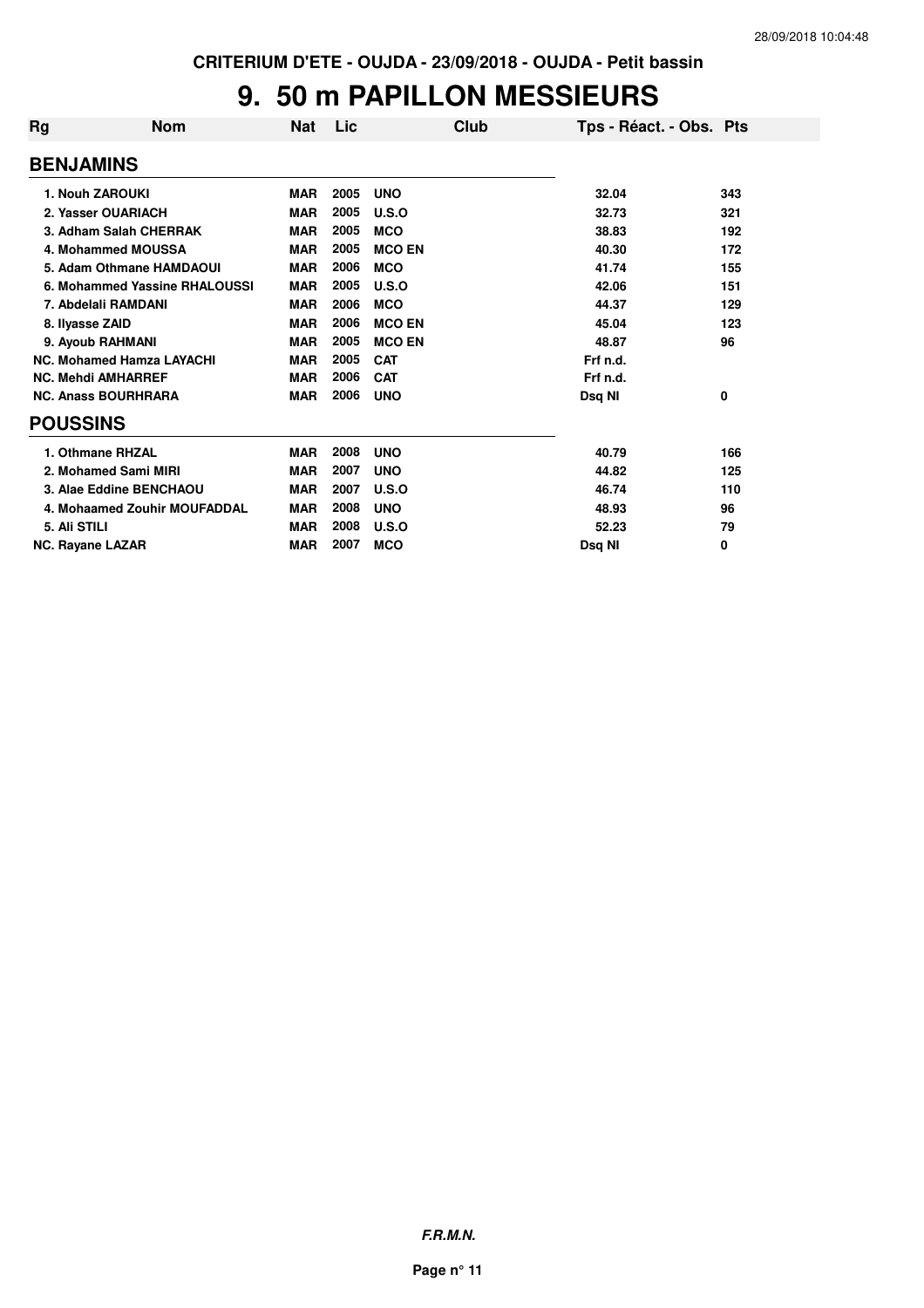#### **9. 50 m PAPILLON MESSIEURS**

| Rg                      | <b>Nom</b>                       | Nat        | Lic  | Club          | Tps - Réact. - Obs. Pts |     |
|-------------------------|----------------------------------|------------|------|---------------|-------------------------|-----|
| <b>BENJAMINS</b>        |                                  |            |      |               |                         |     |
|                         | 1. Nouh ZAROUKI                  | <b>MAR</b> | 2005 | <b>UNO</b>    | 32.04                   | 343 |
|                         | 2. Yasser OUARIACH               | <b>MAR</b> | 2005 | U.S.O         | 32.73                   | 321 |
|                         | 3. Adham Salah CHERRAK           | <b>MAR</b> | 2005 | <b>MCO</b>    | 38.83                   | 192 |
|                         | 4. Mohammed MOUSSA               | <b>MAR</b> | 2005 | <b>MCO EN</b> | 40.30                   | 172 |
|                         | 5. Adam Othmane HAMDAOUI         | <b>MAR</b> | 2006 | <b>MCO</b>    | 41.74                   | 155 |
|                         | 6. Mohammed Yassine RHALOUSSI    | <b>MAR</b> | 2005 | U.S.O         | 42.06                   | 151 |
|                         | 7. Abdelali RAMDANI              | <b>MAR</b> | 2006 | <b>MCO</b>    | 44.37                   | 129 |
| 8. Ilyasse ZAID         |                                  | <b>MAR</b> | 2006 | <b>MCO EN</b> | 45.04                   | 123 |
|                         | 9. Ayoub RAHMANI                 | <b>MAR</b> | 2005 | <b>MCO EN</b> | 48.87                   | 96  |
|                         | <b>NC. Mohamed Hamza LAYACHI</b> | <b>MAR</b> | 2005 | <b>CAT</b>    | Frf n.d.                |     |
|                         | <b>NC. Mehdi AMHARREF</b>        | <b>MAR</b> | 2006 | <b>CAT</b>    | Frf n.d.                |     |
|                         | <b>NC. Anass BOURHRARA</b>       | <b>MAR</b> | 2006 | <b>UNO</b>    | Dsq NI                  | 0   |
| <b>POUSSINS</b>         |                                  |            |      |               |                         |     |
|                         | 1. Othmane RHZAL                 | <b>MAR</b> | 2008 | <b>UNO</b>    | 40.79                   | 166 |
|                         | 2. Mohamed Sami MIRI             | <b>MAR</b> | 2007 | <b>UNO</b>    | 44.82                   | 125 |
|                         | 3. Alae Eddine BENCHAOU          | <b>MAR</b> | 2007 | U.S.O         | 46.74                   | 110 |
|                         | 4. Mohaamed Zouhir MOUFADDAL     | <b>MAR</b> | 2008 | <b>UNO</b>    | 48.93                   | 96  |
| 5. Ali STILI            |                                  | <b>MAR</b> | 2008 | U.S.O         | 52.23                   | 79  |
| <b>NC. Rayane LAZAR</b> |                                  | <b>MAR</b> | 2007 | <b>MCO</b>    | Dsg NI                  | 0   |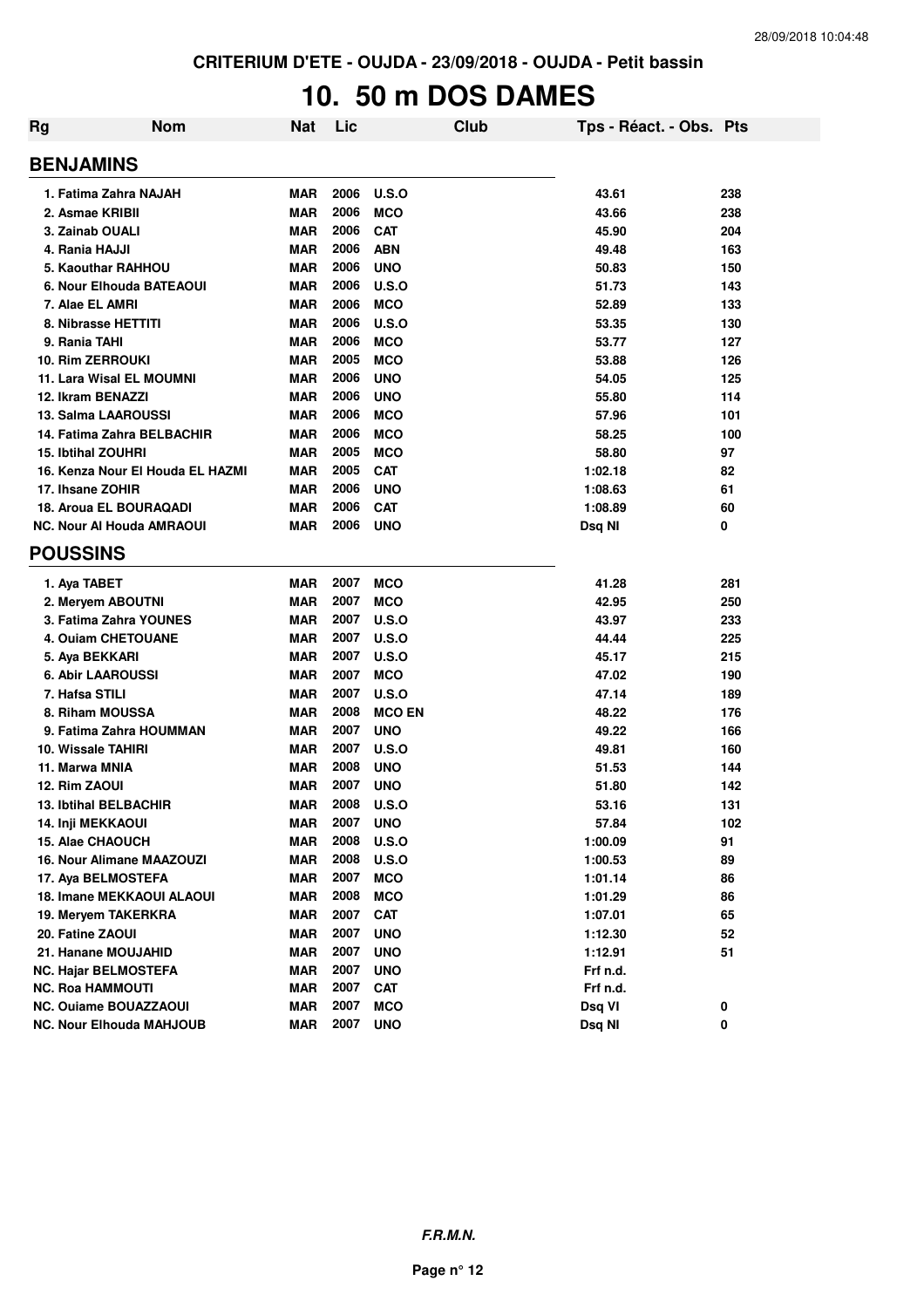# **10. 50 m DOS DAMES**

| Rg              | <b>Nom</b>                       | <b>Nat</b> | Lic  | <b>Club</b>   | Tps - Réact. - Obs. Pts |     |
|-----------------|----------------------------------|------------|------|---------------|-------------------------|-----|
|                 | <b>BENJAMINS</b>                 |            |      |               |                         |     |
|                 | 1. Fatima Zahra NAJAH            | <b>MAR</b> | 2006 | U.S.O         | 43.61                   | 238 |
|                 | 2. Asmae KRIBII                  | <b>MAR</b> | 2006 | <b>MCO</b>    | 43.66                   | 238 |
|                 | 3. Zainab OUALI                  | <b>MAR</b> | 2006 | <b>CAT</b>    | 45.90                   | 204 |
|                 | 4. Rania HAJJI                   | <b>MAR</b> | 2006 | <b>ABN</b>    | 49.48                   | 163 |
|                 | 5. Kaouthar RAHHOU               | <b>MAR</b> | 2006 | <b>UNO</b>    | 50.83                   | 150 |
|                 | 6. Nour Elhouda BATEAOUI         | <b>MAR</b> | 2006 | U.S.O         | 51.73                   | 143 |
|                 | 7. Alae EL AMRI                  | <b>MAR</b> | 2006 | <b>MCO</b>    | 52.89                   | 133 |
|                 | 8. Nibrasse HETTITI              | <b>MAR</b> | 2006 | U.S.O         | 53.35                   | 130 |
|                 | 9. Rania TAHI                    | <b>MAR</b> | 2006 | <b>MCO</b>    | 53.77                   | 127 |
|                 | 10. Rim ZERROUKI                 | <b>MAR</b> | 2005 | <b>MCO</b>    | 53.88                   | 126 |
|                 | 11. Lara Wisal EL MOUMNI         | <b>MAR</b> | 2006 | <b>UNO</b>    | 54.05                   | 125 |
|                 | 12. Ikram BENAZZI                | <b>MAR</b> | 2006 | <b>UNO</b>    | 55.80                   | 114 |
|                 | 13. Salma LAAROUSSI              | <b>MAR</b> | 2006 | <b>MCO</b>    | 57.96                   | 101 |
|                 | 14. Fatima Zahra BELBACHIR       | <b>MAR</b> | 2006 | <b>MCO</b>    | 58.25                   | 100 |
|                 | <b>15. Ibtihal ZOUHRI</b>        | <b>MAR</b> | 2005 | <b>MCO</b>    | 58.80                   | 97  |
|                 | 16. Kenza Nour El Houda EL HAZMI | <b>MAR</b> | 2005 | <b>CAT</b>    | 1:02.18                 | 82  |
|                 | 17. Ihsane ZOHIR                 | <b>MAR</b> | 2006 | <b>UNO</b>    | 1:08.63                 | 61  |
|                 | 18. Aroua EL BOURAQADI           | <b>MAR</b> | 2006 | <b>CAT</b>    | 1:08.89                 | 60  |
|                 | <b>NC. Nour AI Houda AMRAOUI</b> | <b>MAR</b> | 2006 | <b>UNO</b>    | Dsq NI                  | 0   |
| <b>POUSSINS</b> |                                  |            |      |               |                         |     |
|                 | 1. Aya TABET                     | <b>MAR</b> | 2007 | <b>MCO</b>    | 41.28                   | 281 |
|                 | 2. Meryem ABOUTNI                | <b>MAR</b> | 2007 | <b>MCO</b>    | 42.95                   | 250 |
|                 | 3. Fatima Zahra YOUNES           | <b>MAR</b> | 2007 | <b>U.S.O</b>  | 43.97                   | 233 |
|                 | 4. Ouiam CHETOUANE               | <b>MAR</b> | 2007 | <b>U.S.O</b>  | 44.44                   | 225 |
|                 | 5. Aya BEKKARI                   | <b>MAR</b> | 2007 | <b>U.S.O</b>  | 45.17                   | 215 |
|                 | <b>6. Abir LAAROUSSI</b>         | <b>MAR</b> | 2007 | <b>MCO</b>    | 47.02                   | 190 |
|                 | 7. Hafsa STILI                   | <b>MAR</b> | 2007 | U.S.O         | 47.14                   | 189 |
|                 | 8. Riham MOUSSA                  | <b>MAR</b> | 2008 | <b>MCO EN</b> | 48.22                   | 176 |
|                 | 9. Fatima Zahra HOUMMAN          | <b>MAR</b> | 2007 | <b>UNO</b>    | 49.22                   | 166 |
|                 | 10. Wissale TAHIRI               | <b>MAR</b> | 2007 | U.S.O         | 49.81                   | 160 |
|                 | 11. Marwa MNIA                   | <b>MAR</b> | 2008 | <b>UNO</b>    | 51.53                   | 144 |
| 12. Rim ZAOUI   |                                  | <b>MAR</b> | 2007 | <b>UNO</b>    | 51.80                   | 142 |
|                 | <b>13. Ibtihal BELBACHIR</b>     | <b>MAR</b> | 2008 | U.S.O         | 53.16                   | 131 |
|                 | 14. Inji MEKKAOUI                | MAR        | 2007 | <b>UNO</b>    | 57.84                   | 102 |
|                 | 15. Alae CHAOUCH                 | <b>MAR</b> | 2008 | <b>U.S.O</b>  | 1:00.09                 | 91  |
|                 | 16. Nour Alimane MAAZOUZI        | <b>MAR</b> | 2008 | <b>U.S.O</b>  | 1:00.53                 | 89  |
|                 | 17. Aya BELMOSTEFA               | <b>MAR</b> | 2007 | <b>MCO</b>    | 1:01.14                 | 86  |
|                 | 18. Imane MEKKAOUI ALAOUI        | <b>MAR</b> | 2008 | <b>MCO</b>    | 1:01.29                 | 86  |
|                 | 19. Mervem TAKERKRA              | <b>MAR</b> | 2007 | <b>CAT</b>    | 1:07.01                 | 65  |
|                 | 20. Fatine ZAOUI                 | <b>MAR</b> | 2007 | <b>UNO</b>    | 1:12.30                 | 52  |
|                 | 21. Hanane MOUJAHID              | <b>MAR</b> | 2007 | <b>UNO</b>    | 1:12.91                 | 51  |
|                 | <b>NC. Hajar BELMOSTEFA</b>      | <b>MAR</b> | 2007 | <b>UNO</b>    | Frf n.d.                |     |
|                 | <b>NC. Roa HAMMOUTI</b>          | <b>MAR</b> | 2007 | <b>CAT</b>    | Frf n.d.                |     |
|                 | <b>NC. Ouiame BOUAZZAOUI</b>     | <b>MAR</b> | 2007 | <b>MCO</b>    | Dsq VI                  | 0   |
|                 | <b>NC. Nour Elhouda MAHJOUB</b>  | <b>MAR</b> | 2007 | <b>UNO</b>    | Dsq NI                  | 0   |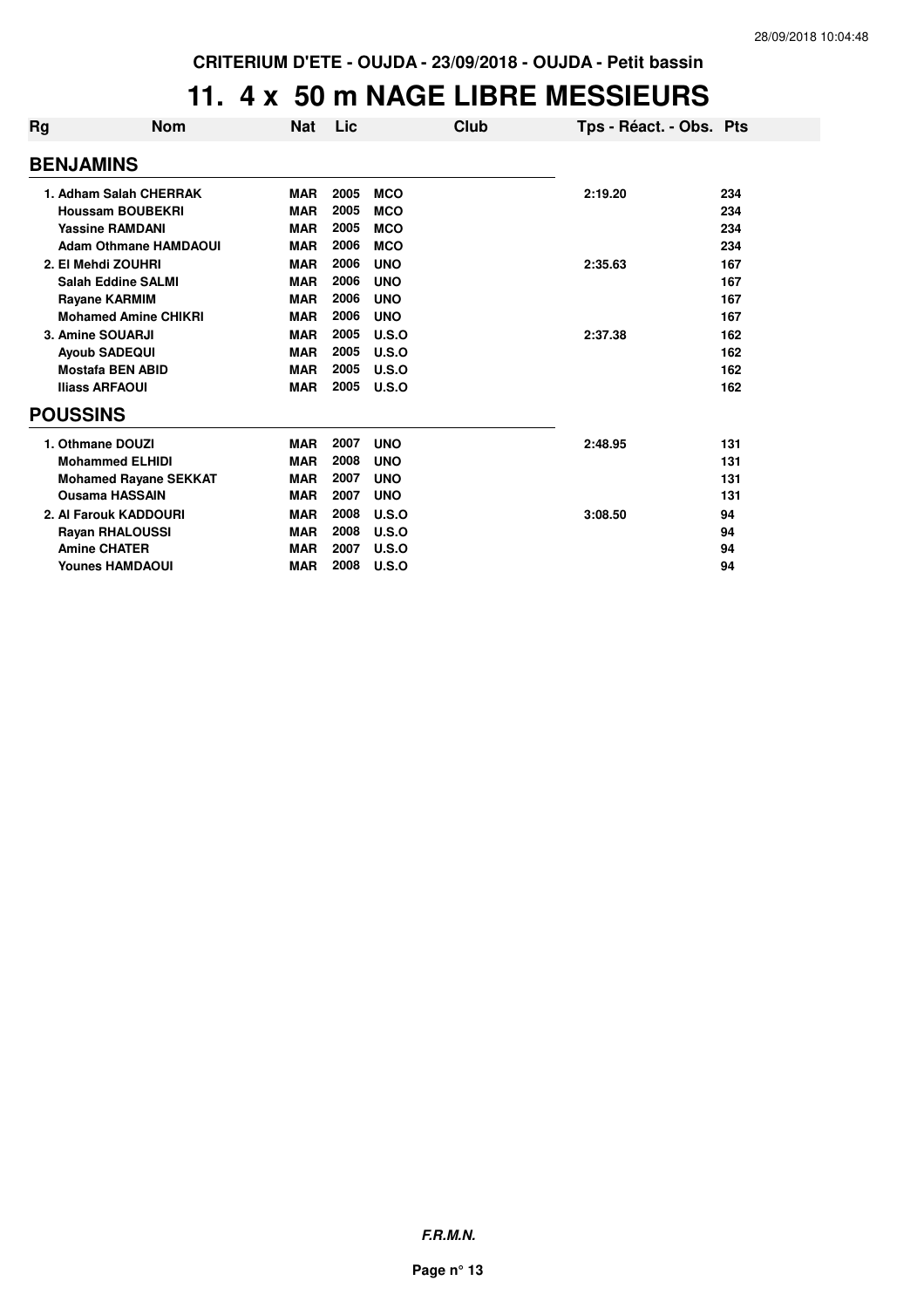#### **11. 4 x 50 m NAGE LIBRE MESSIEURS**

| Rg               | <b>Nom</b>                   | <b>Nat</b> | Lic  |            | Club | Tps - Réact. - Obs. Pts |     |  |  |  |
|------------------|------------------------------|------------|------|------------|------|-------------------------|-----|--|--|--|
| <b>BENJAMINS</b> |                              |            |      |            |      |                         |     |  |  |  |
|                  | 1. Adham Salah CHERRAK       | <b>MAR</b> | 2005 | <b>MCO</b> |      | 2:19.20                 | 234 |  |  |  |
|                  | <b>Houssam BOUBEKRI</b>      | <b>MAR</b> | 2005 | <b>MCO</b> |      |                         | 234 |  |  |  |
|                  | <b>Yassine RAMDANI</b>       | <b>MAR</b> | 2005 | <b>MCO</b> |      |                         | 234 |  |  |  |
|                  | <b>Adam Othmane HAMDAOUI</b> | <b>MAR</b> | 2006 | <b>MCO</b> |      |                         | 234 |  |  |  |
|                  | 2. El Mehdi ZOUHRI           | <b>MAR</b> | 2006 | <b>UNO</b> |      | 2:35.63                 | 167 |  |  |  |
|                  | <b>Salah Eddine SALMI</b>    | <b>MAR</b> | 2006 | <b>UNO</b> |      |                         | 167 |  |  |  |
|                  | <b>Rayane KARMIM</b>         | <b>MAR</b> | 2006 | <b>UNO</b> |      |                         | 167 |  |  |  |
|                  | <b>Mohamed Amine CHIKRI</b>  | <b>MAR</b> | 2006 | <b>UNO</b> |      |                         | 167 |  |  |  |
|                  | 3. Amine SOUARJI             | <b>MAR</b> | 2005 | U.S.O      |      | 2:37.38                 | 162 |  |  |  |
|                  | <b>Ayoub SADEQUI</b>         | <b>MAR</b> | 2005 | U.S.O      |      |                         | 162 |  |  |  |
|                  | <b>Mostafa BEN ABID</b>      | <b>MAR</b> | 2005 | U.S.O      |      |                         | 162 |  |  |  |
|                  | <b>Iliass ARFAOUI</b>        | <b>MAR</b> | 2005 | U.S.O      |      |                         | 162 |  |  |  |
|                  | <b>POUSSINS</b>              |            |      |            |      |                         |     |  |  |  |
|                  | 1. Othmane DOUZI             | <b>MAR</b> | 2007 | <b>UNO</b> |      | 2:48.95                 | 131 |  |  |  |
|                  | <b>Mohammed ELHIDI</b>       | <b>MAR</b> | 2008 | <b>UNO</b> |      |                         | 131 |  |  |  |
|                  | <b>Mohamed Rayane SEKKAT</b> | <b>MAR</b> | 2007 | <b>UNO</b> |      |                         | 131 |  |  |  |
|                  | <b>Ousama HASSAIN</b>        | <b>MAR</b> | 2007 | <b>UNO</b> |      |                         | 131 |  |  |  |
|                  | 2. Al Farouk KADDOURI        | <b>MAR</b> | 2008 | U.S.O      |      | 3:08.50                 | 94  |  |  |  |
|                  | <b>Rayan RHALOUSSI</b>       | <b>MAR</b> | 2008 | U.S.O      |      |                         | 94  |  |  |  |
|                  | <b>Amine CHATER</b>          | <b>MAR</b> | 2007 | U.S.O      |      |                         | 94  |  |  |  |
|                  | <b>Younes HAMDAOUI</b>       | <b>MAR</b> | 2008 | U.S.O      |      |                         | 94  |  |  |  |